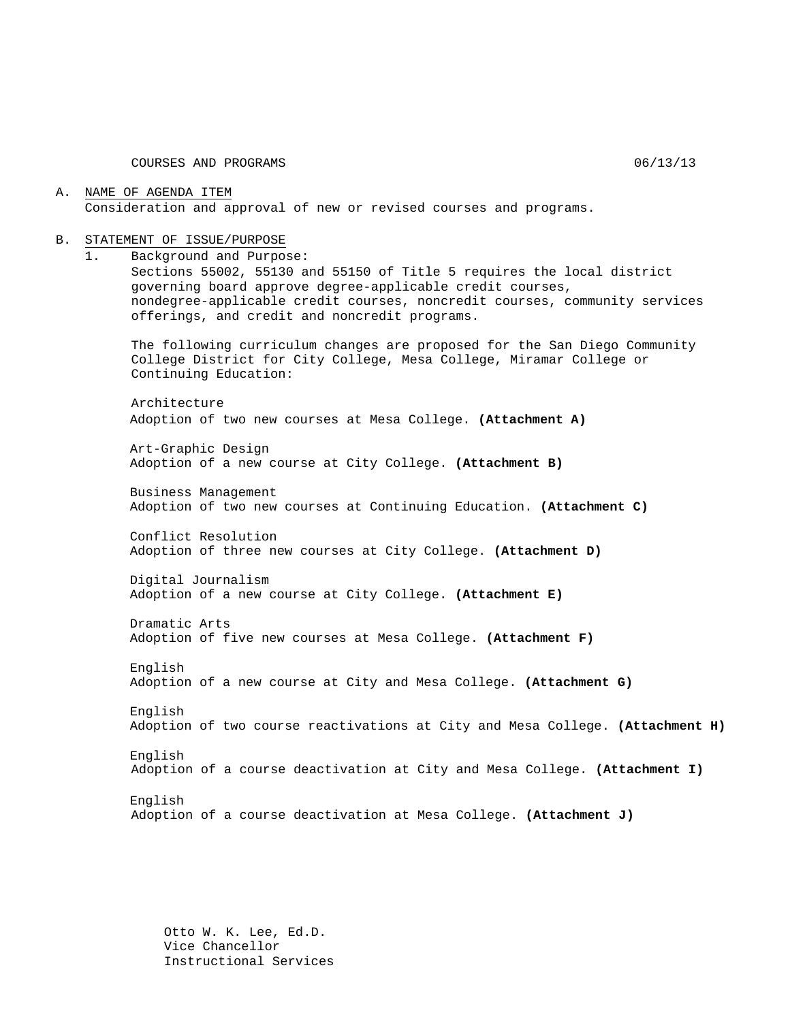COURSES AND PROGRAMS 06/13/13

#### A. NAME OF AGENDA ITEM Consideration and approval of new or revised courses and programs.

#### B. STATEMENT OF ISSUE/PURPOSE

1. Background and Purpose:

Sections 55002, 55130 and 55150 of Title 5 requires the local district governing board approve degree-applicable credit courses, nondegree-applicable credit courses, noncredit courses, community services offerings, and credit and noncredit programs.

The following curriculum changes are proposed for the San Diego Community College District for City College, Mesa College, Miramar College or Continuing Education:

Architecture Adoption of two new courses at Mesa College. **(Attachment A)**

Art-Graphic Design Adoption of a new course at City College. **(Attachment B)**

Business Management Adoption of two new courses at Continuing Education. **(Attachment C)**

Conflict Resolution Adoption of three new courses at City College. **(Attachment D)**

Digital Journalism Adoption of a new course at City College. **(Attachment E)**

Dramatic Arts Adoption of five new courses at Mesa College. **(Attachment F)**

English Adoption of a new course at City and Mesa College. **(Attachment G)**

English Adoption of two course reactivations at City and Mesa College. **(Attachment H)**

English Adoption of a course deactivation at City and Mesa College. **(Attachment I)**

English Adoption of a course deactivation at Mesa College. **(Attachment J)**

Otto W. K. Lee, Ed.D. Vice Chancellor Instructional Services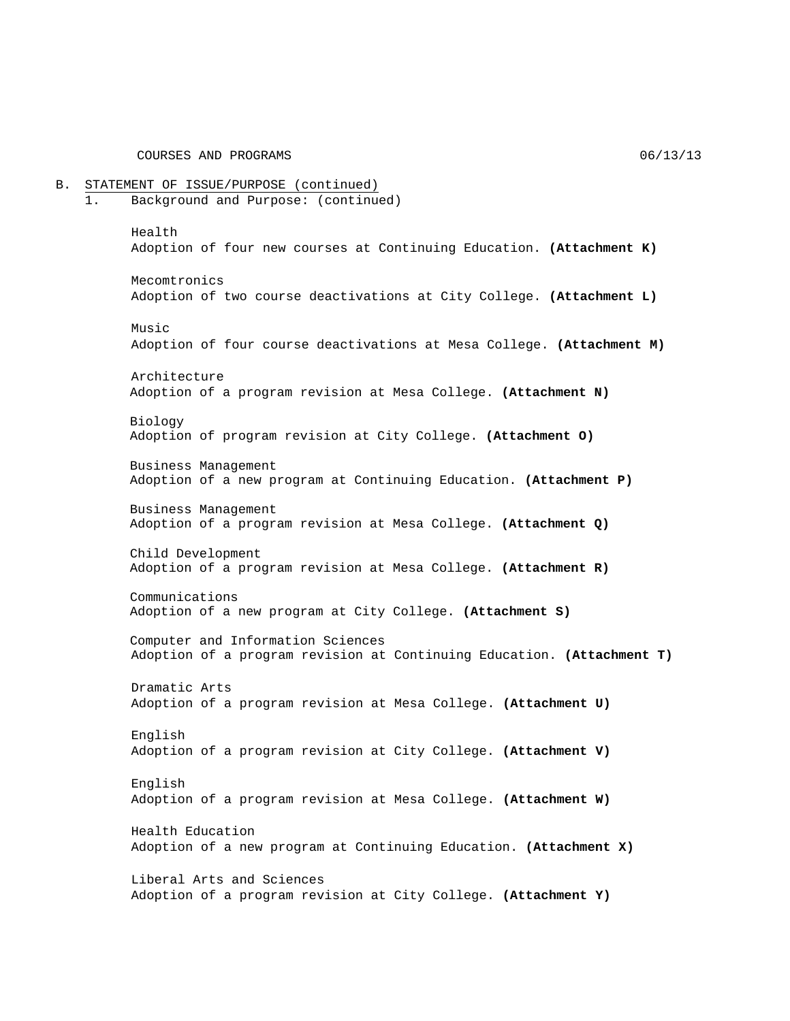COURSES AND PROGRAMS  $06/13/13$ 

B. STATEMENT OF ISSUE/PURPOSE (continued) 1. Background and Purpose: (continued) Health Adoption of four new courses at Continuing Education. **(Attachment K)** Mecomtronics Adoption of two course deactivations at City College. **(Attachment L)** Music Adoption of four course deactivations at Mesa College. **(Attachment M)** Architecture Adoption of a program revision at Mesa College. **(Attachment N)** Biology Adoption of program revision at City College. **(Attachment O)** Business Management Adoption of a new program at Continuing Education. **(Attachment P)** Business Management Adoption of a program revision at Mesa College. **(Attachment Q)** Child Development Adoption of a program revision at Mesa College. **(Attachment R)** Communications Adoption of a new program at City College. **(Attachment S)** Computer and Information Sciences Adoption of a program revision at Continuing Education. **(Attachment T)** Dramatic Arts Adoption of a program revision at Mesa College. **(Attachment U)** English Adoption of a program revision at City College. **(Attachment V)** English Adoption of a program revision at Mesa College. **(Attachment W)** Health Education Adoption of a new program at Continuing Education. **(Attachment X)** Liberal Arts and Sciences Adoption of a program revision at City College. **(Attachment Y)**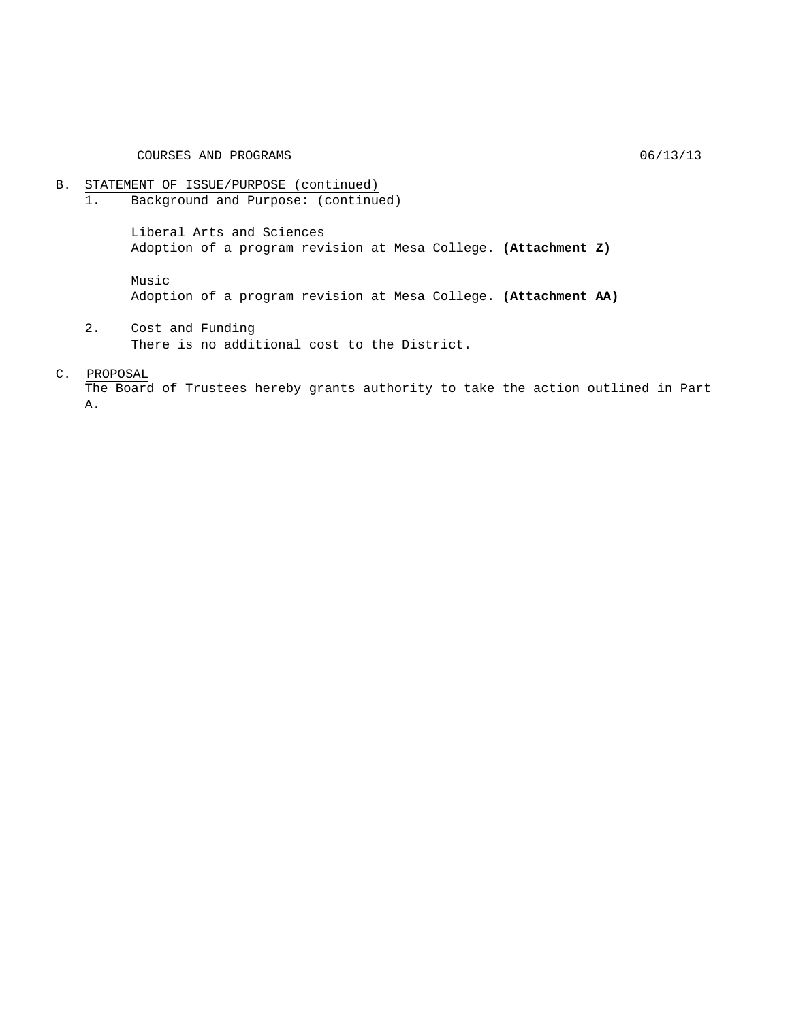COURSES AND PROGRAMS 06/13/13

# B. STATEMENT OF ISSUE/PURPOSE (continued)<br>1. Background and Purpose: (continue

Background and Purpose: (continued)

Liberal Arts and Sciences Adoption of a program revision at Mesa College. **(Attachment Z)**

Music

Adoption of a program revision at Mesa College. **(Attachment AA)**

2. Cost and Funding There is no additional cost to the District.

#### C. PROPOSAL

The Board of Trustees hereby grants authority to take the action outlined in Part A.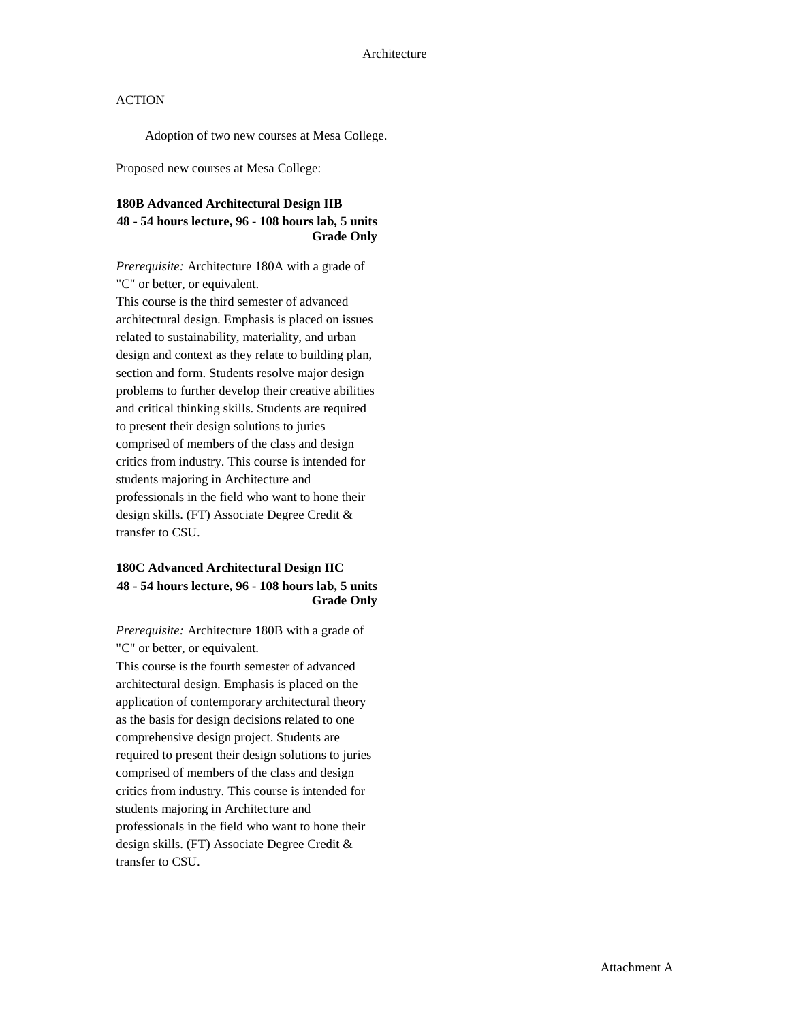Adoption of two new courses at Mesa College.

Proposed new courses at Mesa College:

## **180B Advanced Architectural Design IIB 48 - 54 hours lecture, 96 - 108 hours lab, 5 units Grade Only**

*Prerequisite:* Architecture 180A with a grade of "C" or better, or equivalent.

This course is the third semester of advanced architectural design. Emphasis is placed on issues related to sustainability, materiality, and urban design and context as they relate to building plan, section and form. Students resolve major design problems to further develop their creative abilities and critical thinking skills. Students are required to present their design solutions to juries comprised of members of the class and design critics from industry. This course is intended for students majoring in Architecture and professionals in the field who want to hone their design skills. (FT) Associate Degree Credit & transfer to CSU.

### **180C Advanced Architectural Design IIC 48 - 54 hours lecture, 96 - 108 hours lab, 5 units Grade Only**

*Prerequisite:* Architecture 180B with a grade of "C" or better, or equivalent.

This course is the fourth semester of advanced architectural design. Emphasis is placed on the application of contemporary architectural theory as the basis for design decisions related to one comprehensive design project. Students are required to present their design solutions to juries comprised of members of the class and design critics from industry. This course is intended for students majoring in Architecture and professionals in the field who want to hone their design skills. (FT) Associate Degree Credit & transfer to CSU.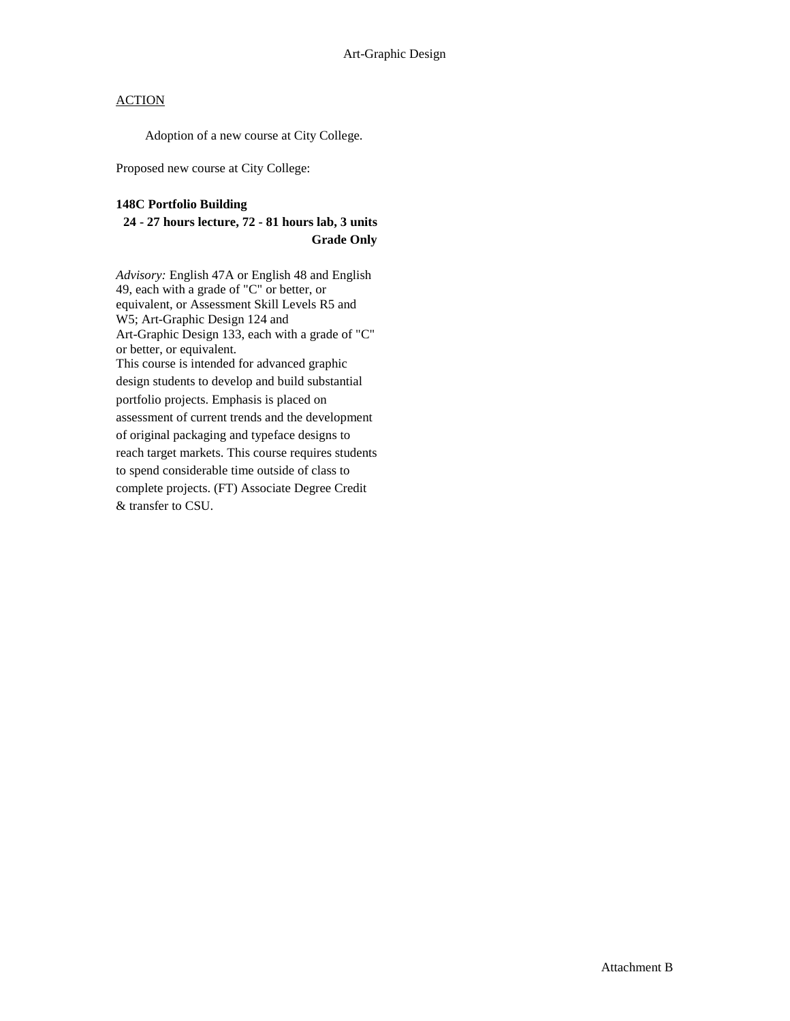Adoption of a new course at City College.

Proposed new course at City College:

#### **148C Portfolio Building**

## **24 - 27 hours lecture, 72 - 81 hours lab, 3 units Grade Only**

*Advisory:* English 47A or English 48 and English 49, each with a grade of "C" or better, or equivalent, or Assessment Skill Levels R5 and W5; Art-Graphic Design 124 and Art-Graphic Design 133, each with a grade of "C" or better, or equivalent. This course is intended for advanced graphic design students to develop and build substantial portfolio projects. Emphasis is placed on assessment of current trends and the development of original packaging and typeface designs to reach target markets. This course requires students to spend considerable time outside of class to complete projects. (FT) Associate Degree Credit & transfer to CSU.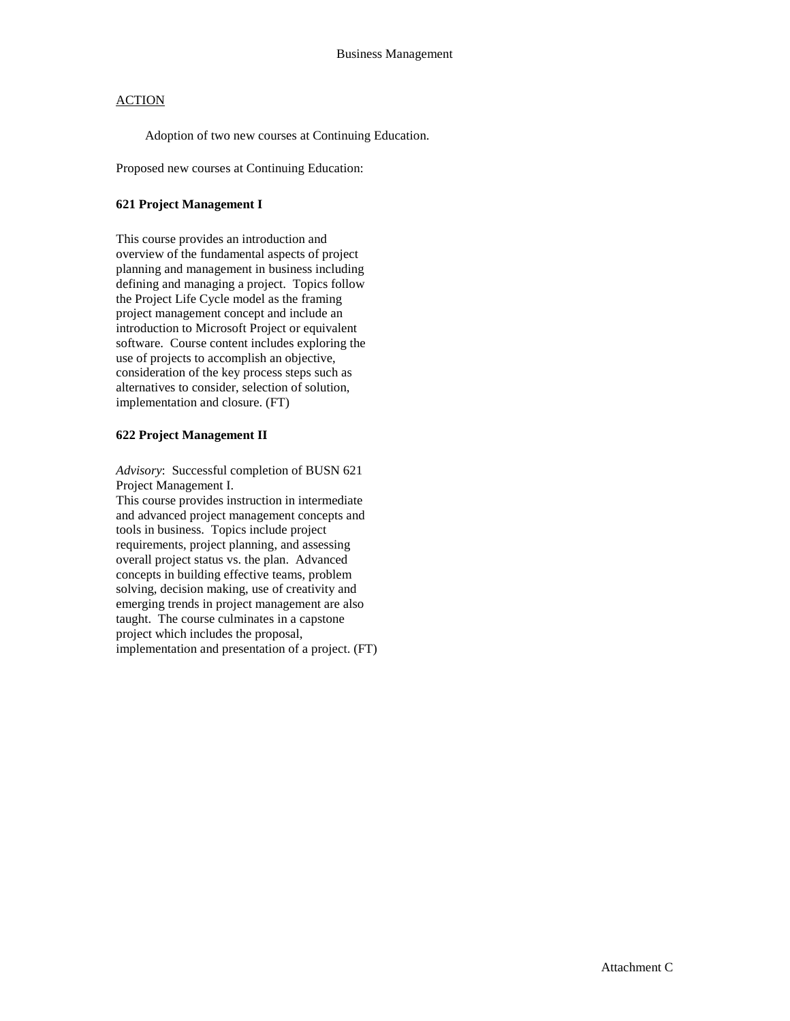Adoption of two new courses at Continuing Education.

Proposed new courses at Continuing Education:

#### **621 Project Management I**

This course provides an introduction and overview of the fundamental aspects of project planning and management in business including defining and managing a project. Topics follow the Project Life Cycle model as the framing project management concept and include an introduction to Microsoft Project or equivalent software. Course content includes exploring the use of projects to accomplish an objective, consideration of the key process steps such as alternatives to consider, selection of solution, implementation and closure. (FT)

#### **622 Project Management II**

*Advisory*: Successful completion of BUSN 621 Project Management I.

This course provides instruction in intermediate and advanced project management concepts and tools in business. Topics include project requirements, project planning, and assessing overall project status vs. the plan. Advanced concepts in building effective teams, problem solving, decision making, use of creativity and emerging trends in project management are also taught. The course culminates in a capstone project which includes the proposal, implementation and presentation of a project. (FT)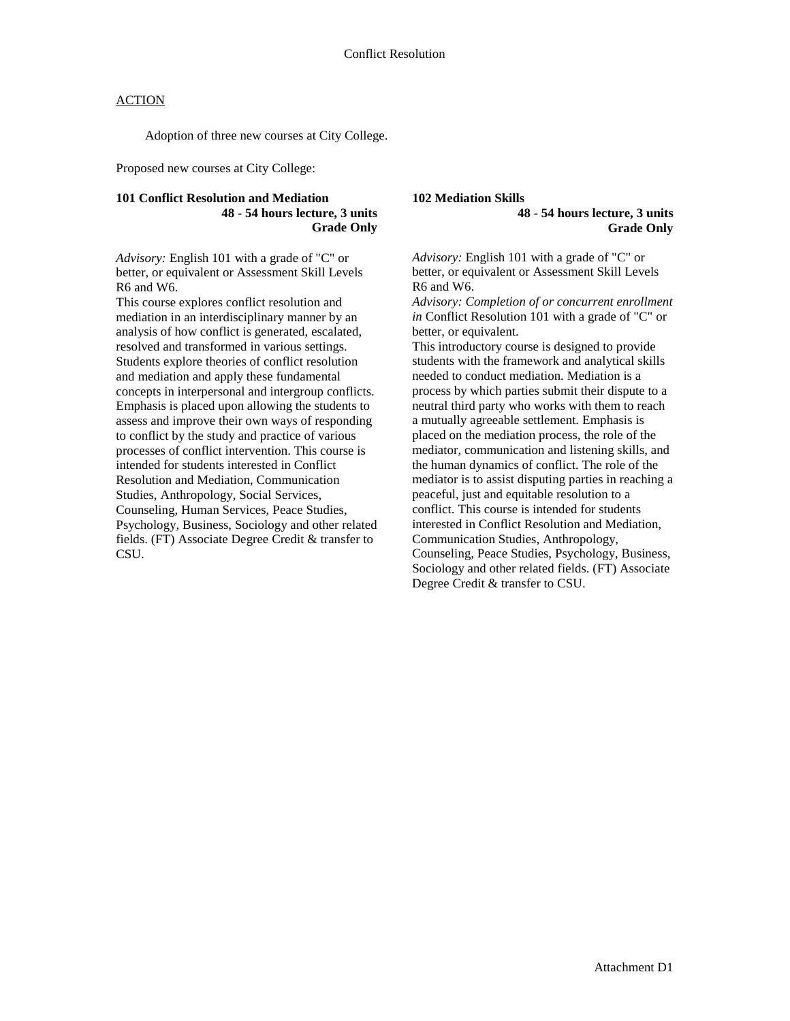Adoption of three new courses at City College.

Proposed new courses at City College:

### **101 Conflict Resolution and Mediation 48 - 54 hours lecture, 3 units Grade Only**

*Advisory:* English 101 with a grade of "C" or better, or equivalent or Assessment Skill Levels R6 and W6.

This course explores conflict resolution and mediation in an interdisciplinary manner by an analysis of how conflict is generated, escalated, resolved and transformed in various settings. Students explore theories of conflict resolution and mediation and apply these fundamental concepts in interpersonal and intergroup conflicts. Emphasis is placed upon allowing the students to assess and improve their own ways of responding to conflict by the study and practice of various processes of conflict intervention. This course is intended for students interested in Conflict Resolution and Mediation, Communication Studies, Anthropology, Social Services, Counseling, Human Services, Peace Studies, Psychology, Business, Sociology and other related fields. (FT) Associate Degree Credit & transfer to CSU.

**102 Mediation Skills**

**48 - 54 hours lecture, 3 units Grade Only**

*Advisory:* English 101 with a grade of "C" or better, or equivalent or Assessment Skill Levels R6 and W6.

*Advisory: Completion of or concurrent enrollment in* Conflict Resolution 101 with a grade of "C" or better, or equivalent.

This introductory course is designed to provide students with the framework and analytical skills needed to conduct mediation. Mediation is a process by which parties submit their dispute to a neutral third party who works with them to reach a mutually agreeable settlement. Emphasis is placed on the mediation process, the role of the mediator, communication and listening skills, and the human dynamics of conflict. The role of the mediator is to assist disputing parties in reaching a peaceful, just and equitable resolution to a conflict. This course is intended for students interested in Conflict Resolution and Mediation, Communication Studies, Anthropology, Counseling, Peace Studies, Psychology, Business, Sociology and other related fields. (FT) Associate Degree Credit & transfer to CSU.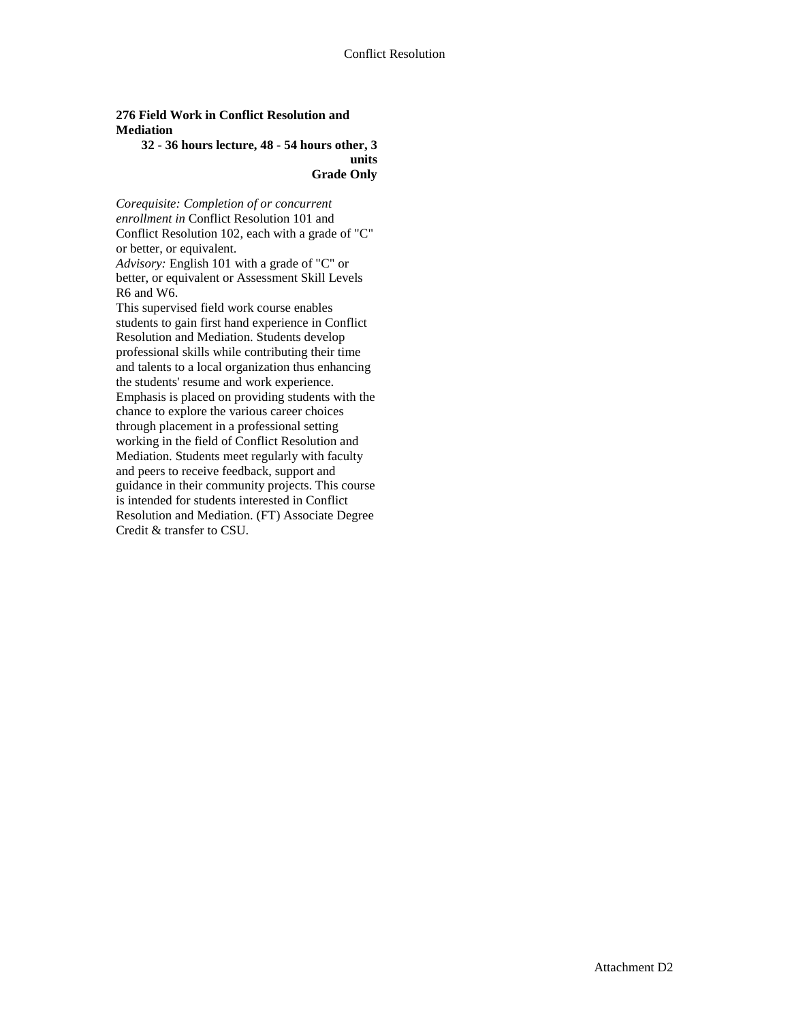### **276 Field Work in Conflict Resolution and Mediation**

#### **32 - 36 hours lecture, 48 - 54 hours other, 3 units Grade Only**

*Corequisite: Completion of or concurrent enrollment in* Conflict Resolution 101 and Conflict Resolution 102, each with a grade of "C" or better, or equivalent.

*Advisory:* English 101 with a grade of "C" or better, or equivalent or Assessment Skill Levels R6 and W6.

This supervised field work course enables students to gain first hand experience in Conflict Resolution and Mediation. Students develop professional skills while contributing their time and talents to a local organization thus enhancing the students' resume and work experience. Emphasis is placed on providing students with the chance to explore the various career choices through placement in a professional setting working in the field of Conflict Resolution and Mediation. Students meet regularly with faculty and peers to receive feedback, support and guidance in their community projects. This course is intended for students interested in Conflict Resolution and Mediation. (FT) Associate Degree Credit & transfer to CSU.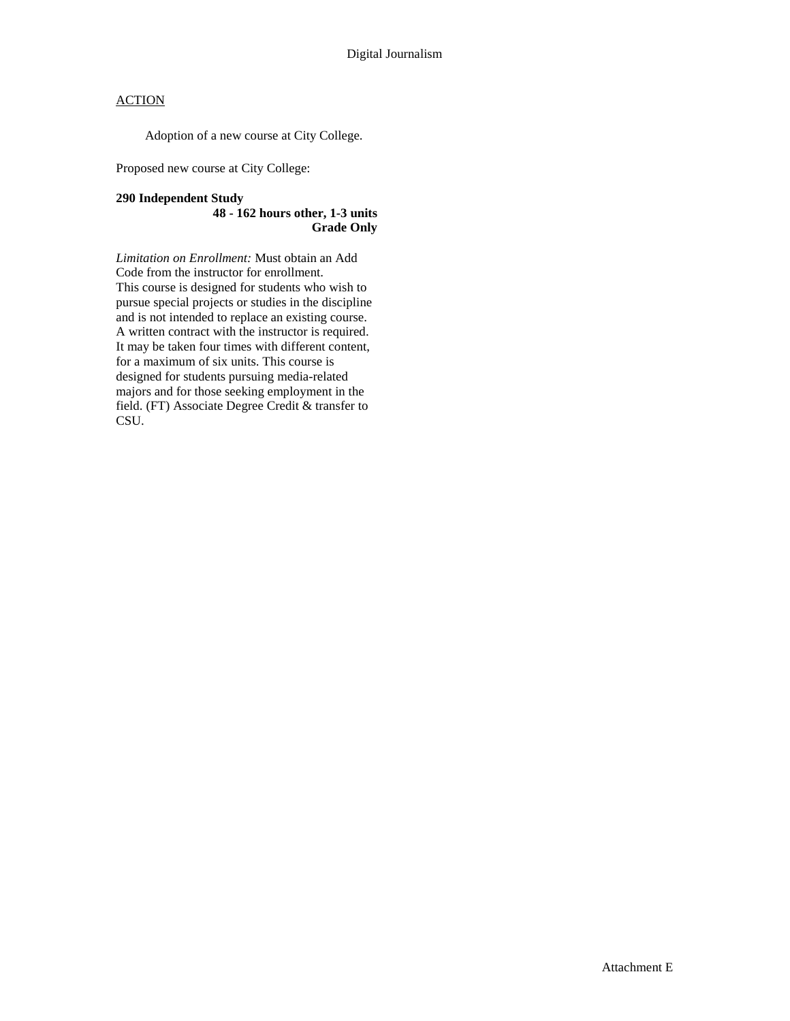Adoption of a new course at City College.

Proposed new course at City College:

### **290 Independent Study 48 - 162 hours other, 1-3 units Grade Only**

*Limitation on Enrollment:* Must obtain an Add Code from the instructor for enrollment. This course is designed for students who wish to pursue special projects or studies in the discipline and is not intended to replace an existing course. A written contract with the instructor is required. It may be taken four times with different content, for a maximum of six units. This course is designed for students pursuing media-related majors and for those seeking employment in the field. (FT) Associate Degree Credit & transfer to CSU.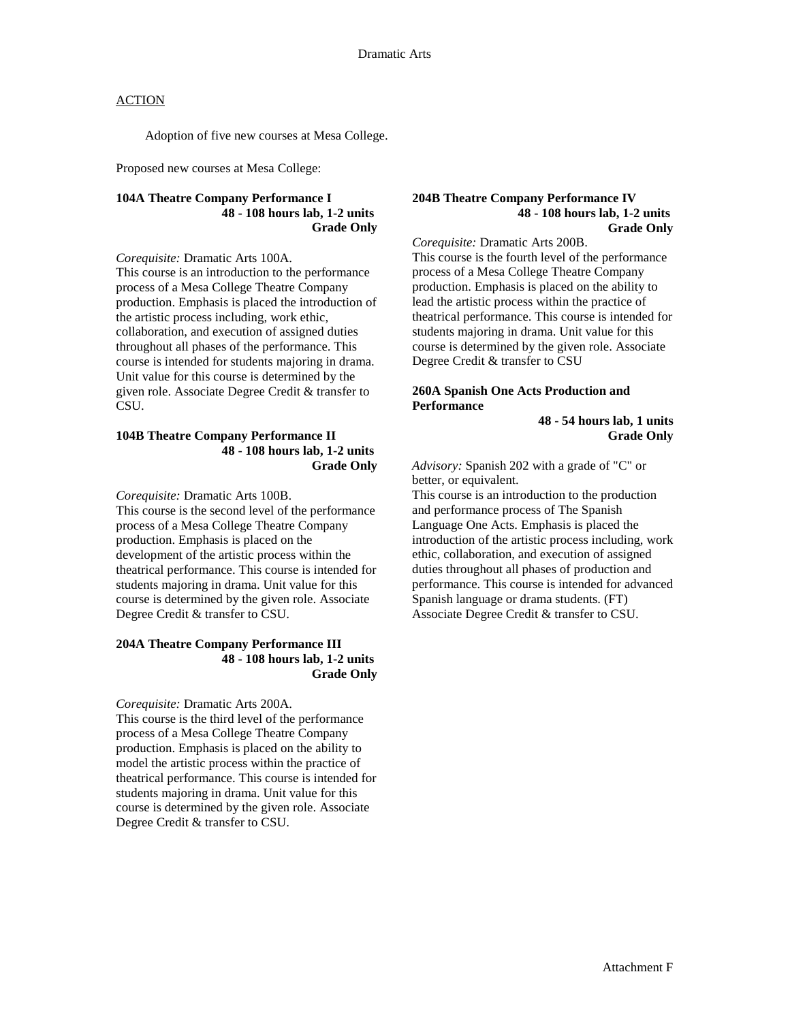Adoption of five new courses at Mesa College.

Proposed new courses at Mesa College:

#### **104A Theatre Company Performance I 48 - 108 hours lab, 1-2 units Grade Only**

*Corequisite:* Dramatic Arts 100A. This course is an introduction to the performance process of a Mesa College Theatre Company production. Emphasis is placed the introduction of the artistic process including, work ethic, collaboration, and execution of assigned duties throughout all phases of the performance. This course is intended for students majoring in drama. Unit value for this course is determined by the given role. Associate Degree Credit & transfer to CSU.

#### **104B Theatre Company Performance II 48 - 108 hours lab, 1-2 units Grade Only**

*Corequisite:* Dramatic Arts 100B.

This course is the second level of the performance process of a Mesa College Theatre Company production. Emphasis is placed on the development of the artistic process within the theatrical performance. This course is intended for students majoring in drama. Unit value for this course is determined by the given role. Associate Degree Credit & transfer to CSU.

#### **204A Theatre Company Performance III 48 - 108 hours lab, 1-2 units Grade Only**

*Corequisite:* Dramatic Arts 200A. This course is the third level of the performance process of a Mesa College Theatre Company production. Emphasis is placed on the ability to model the artistic process within the practice of theatrical performance. This course is intended for students majoring in drama. Unit value for this course is determined by the given role. Associate Degree Credit & transfer to CSU.

#### **204B Theatre Company Performance IV 48 - 108 hours lab, 1-2 units Grade Only**

*Corequisite:* Dramatic Arts 200B. This course is the fourth level of the performance process of a Mesa College Theatre Company production. Emphasis is placed on the ability to lead the artistic process within the practice of theatrical performance. This course is intended for students majoring in drama. Unit value for this course is determined by the given role. Associate Degree Credit & transfer to CSU

#### **260A Spanish One Acts Production and Performance**

**48 - 54 hours lab, 1 units Grade Only** 

*Advisory:* Spanish 202 with a grade of "C" or better, or equivalent.

This course is an introduction to the production and performance process of The Spanish Language One Acts. Emphasis is placed the introduction of the artistic process including, work ethic, collaboration, and execution of assigned duties throughout all phases of production and performance. This course is intended for advanced Spanish language or drama students. (FT) Associate Degree Credit & transfer to CSU.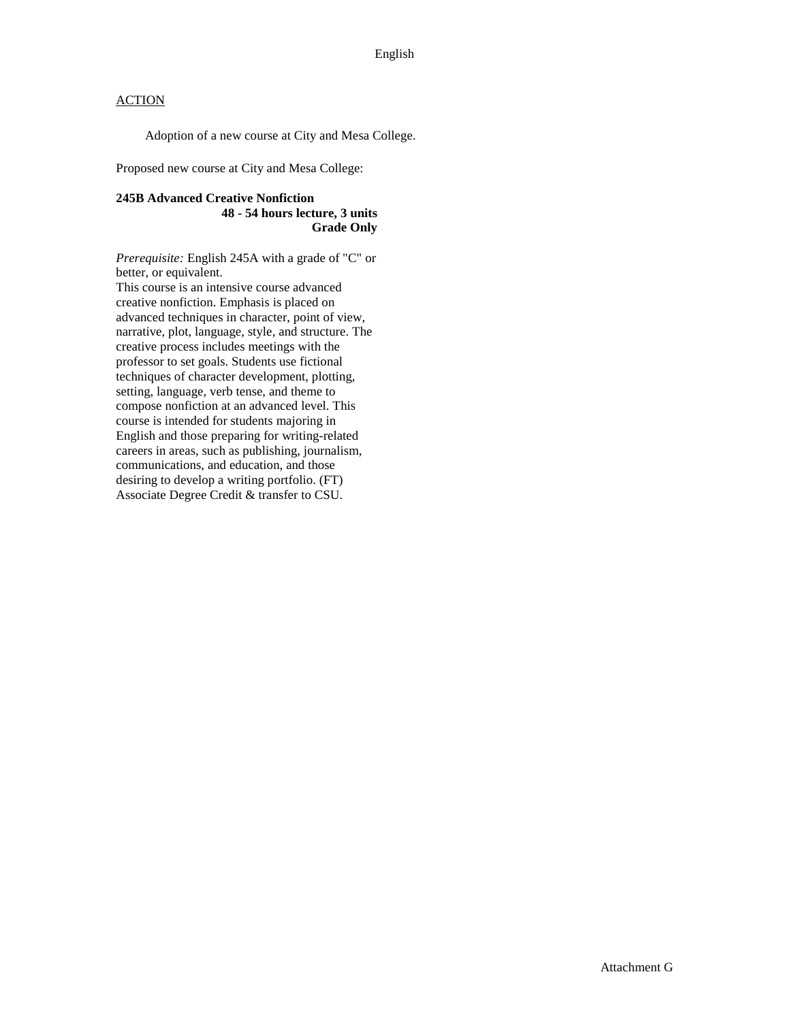Adoption of a new course at City and Mesa College.

Proposed new course at City and Mesa College:

### **245B Advanced Creative Nonfiction 48 - 54 hours lecture, 3 units Grade Only**

*Prerequisite:* English 245A with a grade of "C" or better, or equivalent.

This course is an intensive course advanced creative nonfiction. Emphasis is placed on advanced techniques in character, point of view, narrative, plot, language, style, and structure. The creative process includes meetings with the professor to set goals. Students use fictional techniques of character development, plotting, setting, language, verb tense, and theme to compose nonfiction at an advanced level. This course is intended for students majoring in English and those preparing for writing-related careers in areas, such as publishing, journalism, communications, and education, and those desiring to develop a writing portfolio. (FT) Associate Degree Credit & transfer to CSU.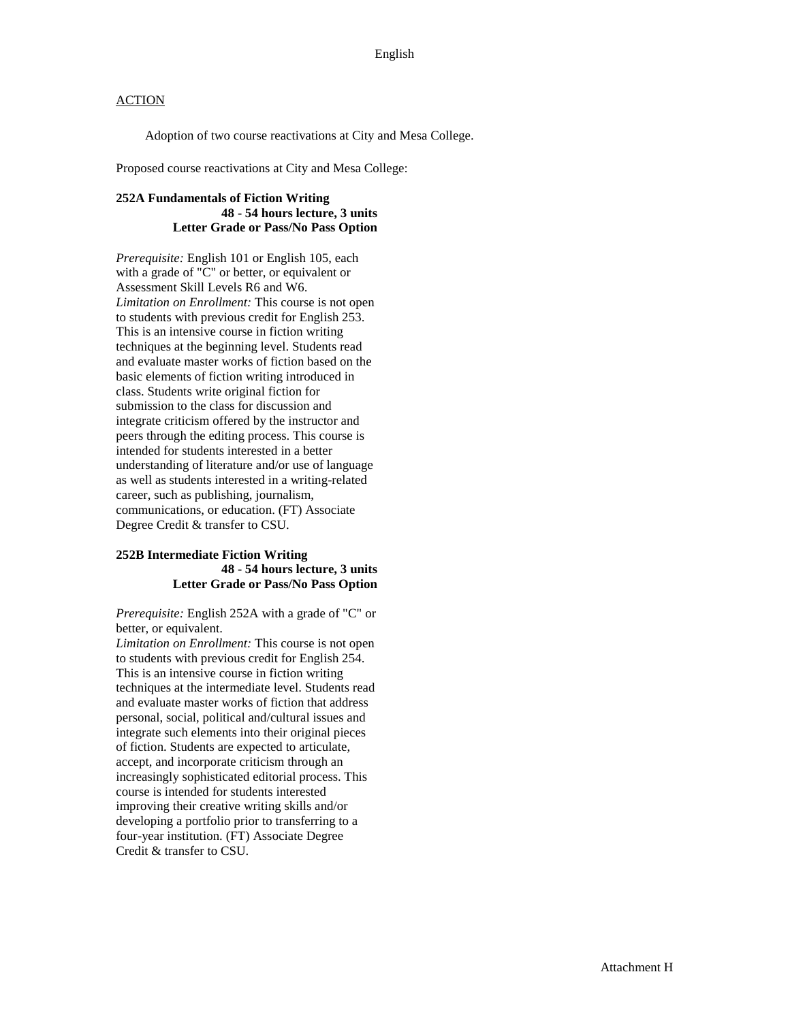Adoption of two course reactivations at City and Mesa College.

Proposed course reactivations at City and Mesa College:

### **252A Fundamentals of Fiction Writing 48 - 54 hours lecture, 3 units Letter Grade or Pass/No Pass Option**

*Prerequisite:* English 101 or English 105, each with a grade of "C" or better, or equivalent or Assessment Skill Levels R6 and W6. *Limitation on Enrollment:* This course is not open to students with previous credit for English 253. This is an intensive course in fiction writing techniques at the beginning level. Students read and evaluate master works of fiction based on the basic elements of fiction writing introduced in class. Students write original fiction for submission to the class for discussion and integrate criticism offered by the instructor and peers through the editing process. This course is intended for students interested in a better understanding of literature and/or use of language as well as students interested in a writing-related career, such as publishing, journalism, communications, or education. (FT) Associate Degree Credit & transfer to CSU.

#### **252B Intermediate Fiction Writing 48 - 54 hours lecture, 3 units Letter Grade or Pass/No Pass Option**

*Prerequisite:* English 252A with a grade of "C" or better, or equivalent.

*Limitation on Enrollment:* This course is not open to students with previous credit for English 254. This is an intensive course in fiction writing techniques at the intermediate level. Students read and evaluate master works of fiction that address personal, social, political and/cultural issues and integrate such elements into their original pieces of fiction. Students are expected to articulate, accept, and incorporate criticism through an increasingly sophisticated editorial process. This course is intended for students interested improving their creative writing skills and/or developing a portfolio prior to transferring to a four-year institution. (FT) Associate Degree Credit & transfer to CSU.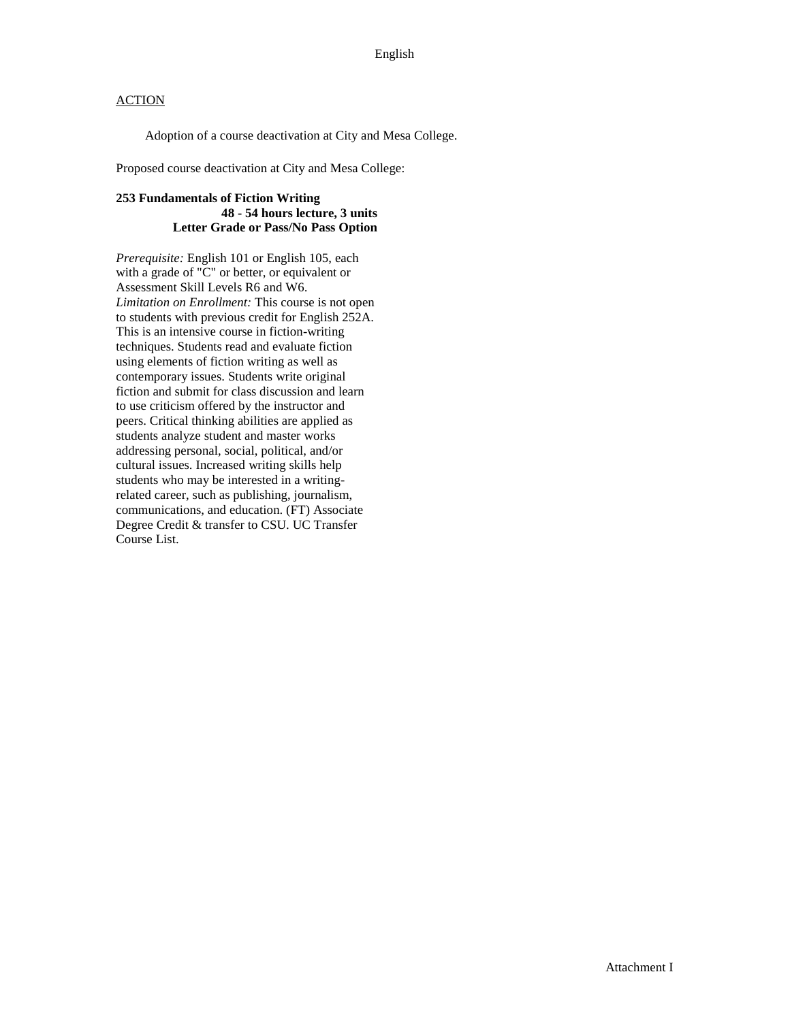Adoption of a course deactivation at City and Mesa College.

Proposed course deactivation at City and Mesa College:

### **253 Fundamentals of Fiction Writing 48 - 54 hours lecture, 3 units Letter Grade or Pass/No Pass Option**

*Prerequisite:* English 101 or English 105, each with a grade of "C" or better, or equivalent or Assessment Skill Levels R6 and W6. *Limitation on Enrollment:* This course is not open to students with previous credit for English 252A. This is an intensive course in fiction-writing techniques. Students read and evaluate fiction using elements of fiction writing as well as contemporary issues. Students write original fiction and submit for class discussion and learn to use criticism offered by the instructor and peers. Critical thinking abilities are applied as students analyze student and master works addressing personal, social, political, and/or cultural issues. Increased writing skills help students who may be interested in a writingrelated career, such as publishing, journalism, communications, and education. (FT) Associate Degree Credit & transfer to CSU. UC Transfer Course List.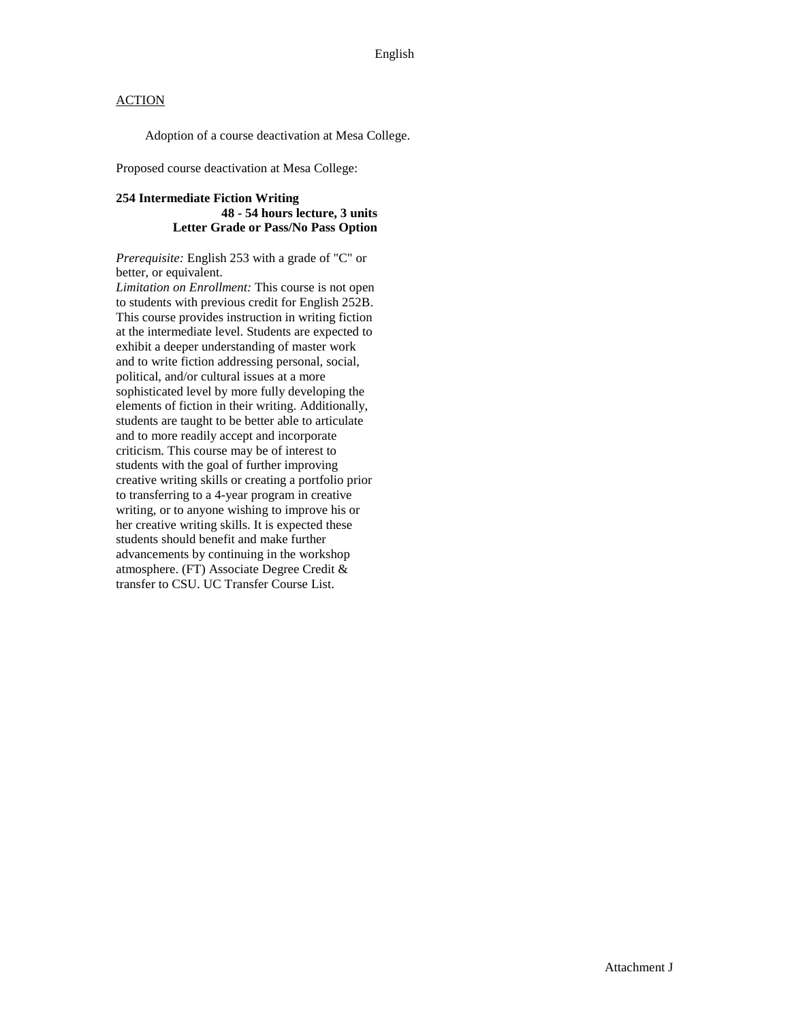Adoption of a course deactivation at Mesa College.

Proposed course deactivation at Mesa College:

#### **254 Intermediate Fiction Writing 48 - 54 hours lecture, 3 units Letter Grade or Pass/No Pass Option**

*Prerequisite:* English 253 with a grade of "C" or better, or equivalent.

*Limitation on Enrollment:* This course is not open to students with previous credit for English 252B. This course provides instruction in writing fiction at the intermediate level. Students are expected to exhibit a deeper understanding of master work and to write fiction addressing personal, social, political, and/or cultural issues at a more sophisticated level by more fully developing the elements of fiction in their writing. Additionally, students are taught to be better able to articulate and to more readily accept and incorporate criticism. This course may be of interest to students with the goal of further improving creative writing skills or creating a portfolio prior to transferring to a 4-year program in creative writing, or to anyone wishing to improve his or her creative writing skills. It is expected these students should benefit and make further advancements by continuing in the workshop atmosphere. (FT) Associate Degree Credit & transfer to CSU. UC Transfer Course List.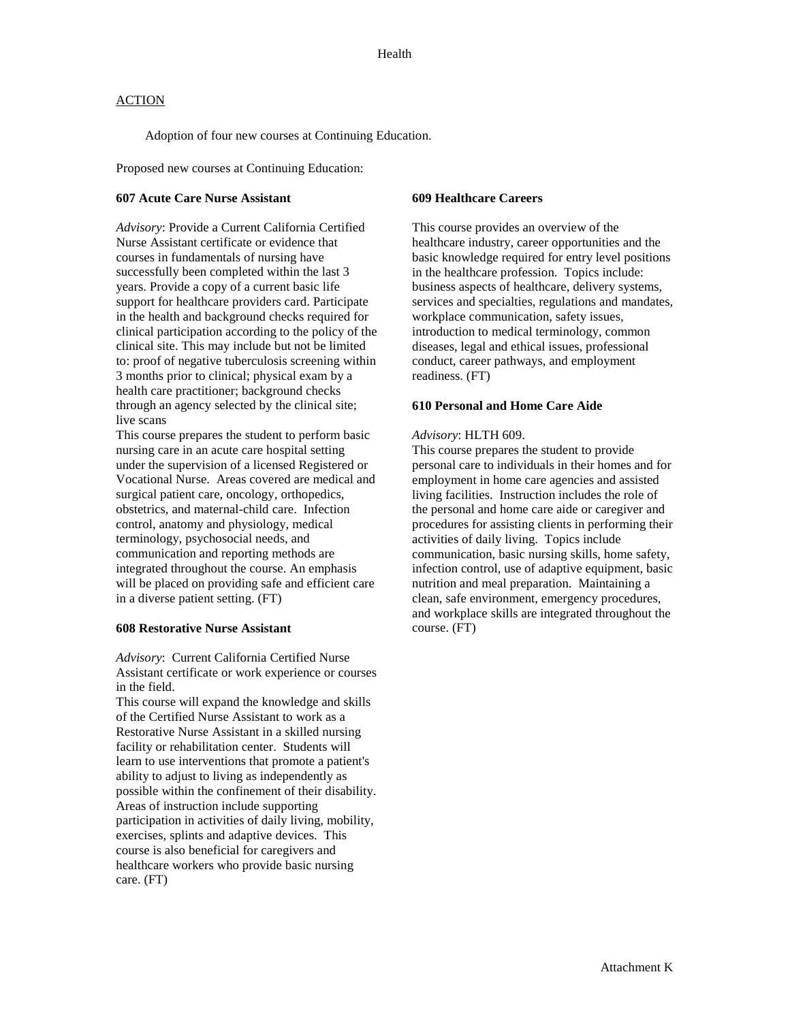Adoption of four new courses at Continuing Education.

Proposed new courses at Continuing Education:

#### **607 Acute Care Nurse Assistant**

*Advisory*: Provide a Current California Certified Nurse Assistant certificate or evidence that courses in fundamentals of nursing have successfully been completed within the last 3 years. Provide a copy of a current basic life support for healthcare providers card. Participate in the health and background checks required for clinical participation according to the policy of the clinical site. This may include but not be limited to: proof of negative tuberculosis screening within 3 months prior to clinical; physical exam by a health care practitioner; background checks through an agency selected by the clinical site; live scans

This course prepares the student to perform basic nursing care in an acute care hospital setting under the supervision of a licensed Registered or Vocational Nurse. Areas covered are medical and surgical patient care, oncology, orthopedics, obstetrics, and maternal-child care. Infection control, anatomy and physiology, medical terminology, psychosocial needs, and communication and reporting methods are integrated throughout the course. An emphasis will be placed on providing safe and efficient care in a diverse patient setting. (FT)

#### **608 Restorative Nurse Assistant**

*Advisory*: Current California Certified Nurse Assistant certificate or work experience or courses in the field.

This course will expand the knowledge and skills of the Certified Nurse Assistant to work as a Restorative Nurse Assistant in a skilled nursing facility or rehabilitation center. Students will learn to use interventions that promote a patient's ability to adjust to living as independently as possible within the confinement of their disability. Areas of instruction include supporting participation in activities of daily living, mobility, exercises, splints and adaptive devices. This course is also beneficial for caregivers and healthcare workers who provide basic nursing care. (FT)

#### **609 Healthcare Careers**

This course provides an overview of the healthcare industry, career opportunities and the basic knowledge required for entry level positions in the healthcare profession. Topics include: business aspects of healthcare, delivery systems, services and specialties, regulations and mandates, workplace communication, safety issues, introduction to medical terminology, common diseases, legal and ethical issues, professional conduct, career pathways, and employment readiness. (FT)

#### **610 Personal and Home Care Aide**

#### *Advisory*: HLTH 609.

This course prepares the student to provide personal care to individuals in their homes and for employment in home care agencies and assisted living facilities. Instruction includes the role of the personal and home care aide or caregiver and procedures for assisting clients in performing their activities of daily living. Topics include communication, basic nursing skills, home safety, infection control, use of adaptive equipment, basic nutrition and meal preparation. Maintaining a clean, safe environment, emergency procedures, and workplace skills are integrated throughout the course. (FT)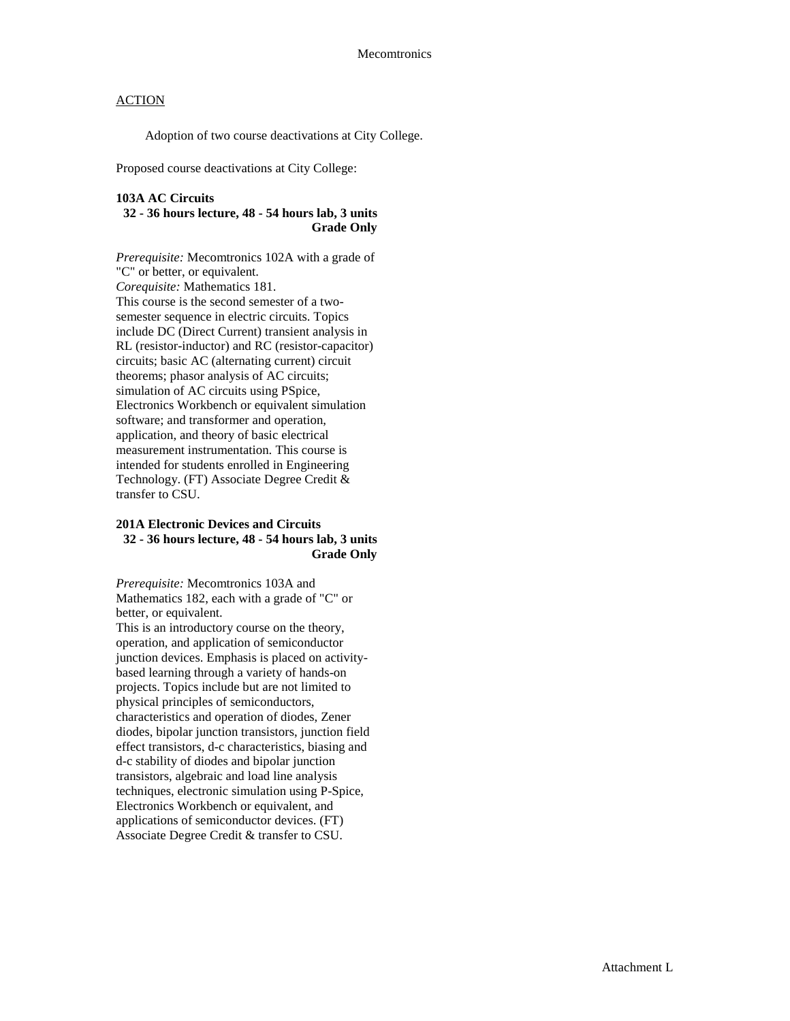Adoption of two course deactivations at City College.

Proposed course deactivations at City College:

#### **103A AC Circuits**

#### **32 - 36 hours lecture, 48 - 54 hours lab, 3 units Grade Only**

*Prerequisite:* Mecomtronics 102A with a grade of "C" or better, or equivalent. *Corequisite:* Mathematics 181. This course is the second semester of a twosemester sequence in electric circuits. Topics include DC (Direct Current) transient analysis in RL (resistor-inductor) and RC (resistor-capacitor) circuits; basic AC (alternating current) circuit theorems; phasor analysis of AC circuits; simulation of AC circuits using PSpice, Electronics Workbench or equivalent simulation software; and transformer and operation, application, and theory of basic electrical measurement instrumentation. This course is intended for students enrolled in Engineering Technology. (FT) Associate Degree Credit & transfer to CSU.

### **201A Electronic Devices and Circuits 32 - 36 hours lecture, 48 - 54 hours lab, 3 units Grade Only**

*Prerequisite:* Mecomtronics 103A and Mathematics 182, each with a grade of "C" or better, or equivalent.

This is an introductory course on the theory, operation, and application of semiconductor junction devices. Emphasis is placed on activitybased learning through a variety of hands-on projects. Topics include but are not limited to physical principles of semiconductors, characteristics and operation of diodes, Zener diodes, bipolar junction transistors, junction field effect transistors, d-c characteristics, biasing and d-c stability of diodes and bipolar junction transistors, algebraic and load line analysis techniques, electronic simulation using P-Spice, Electronics Workbench or equivalent, and applications of semiconductor devices. (FT) Associate Degree Credit & transfer to CSU.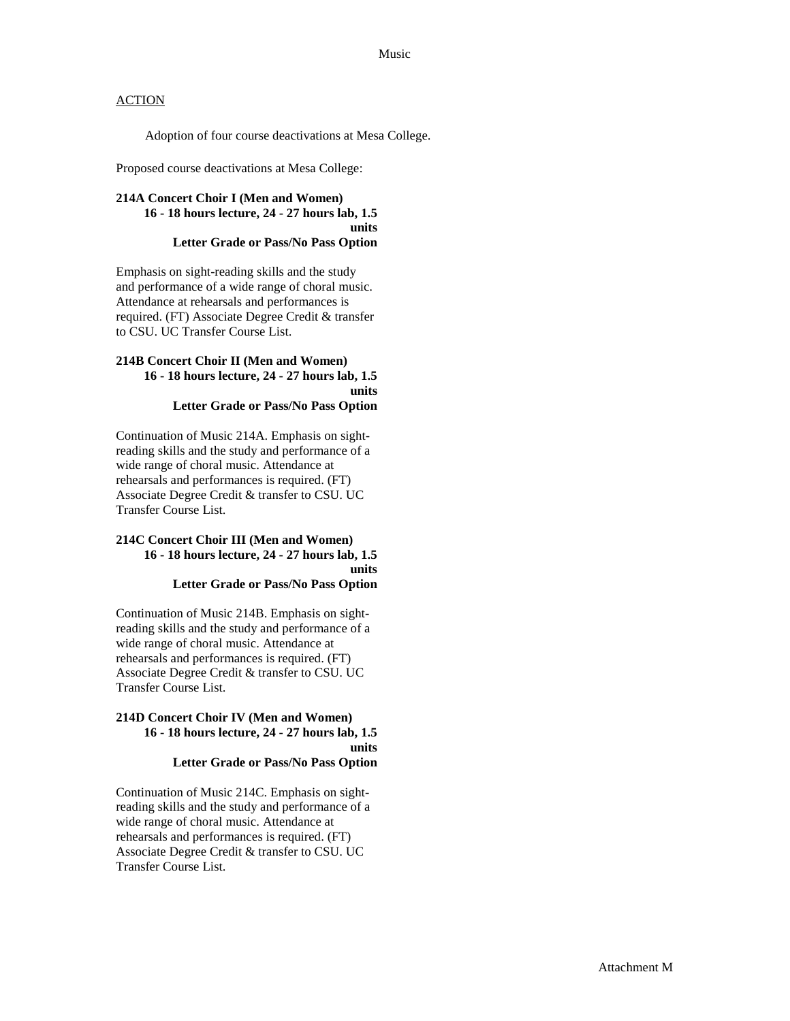Adoption of four course deactivations at Mesa College.

Proposed course deactivations at Mesa College:

#### **214A Concert Choir I (Men and Women) 16 - 18 hours lecture, 24 - 27 hours lab, 1.5 units Letter Grade or Pass/No Pass Option**

Emphasis on sight-reading skills and the study and performance of a wide range of choral music. Attendance at rehearsals and performances is required. (FT) Associate Degree Credit & transfer to CSU. UC Transfer Course List.

#### **214B Concert Choir II (Men and Women) 16 - 18 hours lecture, 24 - 27 hours lab, 1.5 units Letter Grade or Pass/No Pass Option**

Continuation of Music 214A. Emphasis on sightreading skills and the study and performance of a wide range of choral music. Attendance at rehearsals and performances is required. (FT) Associate Degree Credit & transfer to CSU. UC Transfer Course List.

## **214C Concert Choir III (Men and Women) 16 - 18 hours lecture, 24 - 27 hours lab, 1.5 units**

**Letter Grade or Pass/No Pass Option**

Continuation of Music 214B. Emphasis on sightreading skills and the study and performance of a wide range of choral music. Attendance at rehearsals and performances is required. (FT) Associate Degree Credit & transfer to CSU. UC Transfer Course List.

#### **214D Concert Choir IV (Men and Women) 16 - 18 hours lecture, 24 - 27 hours lab, 1.5 units Letter Grade or Pass/No Pass Option**

Continuation of Music 214C. Emphasis on sightreading skills and the study and performance of a wide range of choral music. Attendance at rehearsals and performances is required. (FT) Associate Degree Credit & transfer to CSU. UC Transfer Course List.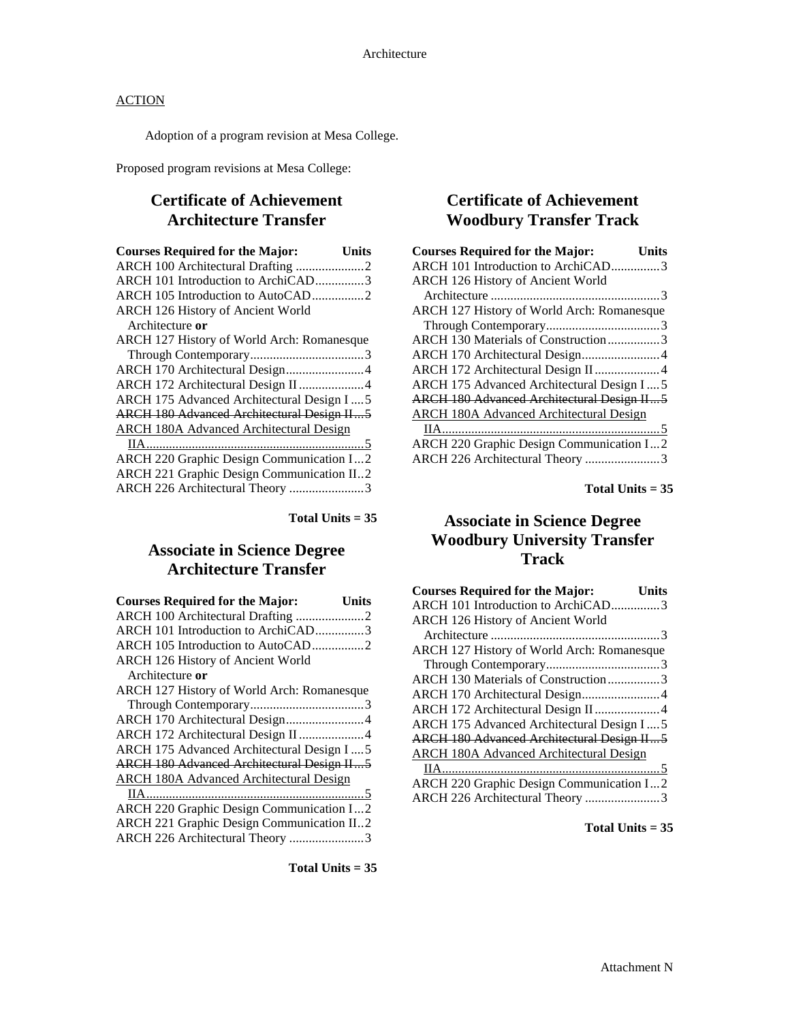Adoption of a program revision at Mesa College.

Proposed program revisions at Mesa College:

## **Certificate of Achievement Architecture Transfer**

| Units                                             |
|---------------------------------------------------|
| ARCH 100 Architectural Drafting 2                 |
| ARCH 101 Introduction to ArchiCAD3                |
|                                                   |
|                                                   |
|                                                   |
| ARCH 127 History of World Arch: Romanesque        |
|                                                   |
| ARCH 170 Architectural Design4                    |
| ARCH 172 Architectural Design II 4                |
| ARCH 175 Advanced Architectural Design I  5       |
| <b>ARCH 180 Advanced Architectural Design II5</b> |
|                                                   |
|                                                   |
| ARCH 220 Graphic Design Communication I2          |
| ARCH 221 Graphic Design Communication II2         |
| ARCH 226 Architectural Theory 3                   |
|                                                   |

**Total Units = 35**

## **Associate in Science Degree Architecture Transfer**

| <b>Courses Required for the Major:</b>            | Units |
|---------------------------------------------------|-------|
| ARCH 100 Architectural Drafting 2                 |       |
| ARCH 101 Introduction to ArchiCAD3                |       |
|                                                   |       |
| ARCH 126 History of Ancient World                 |       |
| Architecture or                                   |       |
| ARCH 127 History of World Arch: Romanesque        |       |
|                                                   |       |
| ARCH 170 Architectural Design4                    |       |
| ARCH 172 Architectural Design II 4                |       |
| ARCH 175 Advanced Architectural Design I  5       |       |
| <b>ARCH 180 Advanced Architectural Design II5</b> |       |
| <b>ARCH 180A Advanced Architectural Design</b>    |       |
|                                                   |       |
| ARCH 220 Graphic Design Communication I2          |       |
| ARCH 221 Graphic Design Communication II2         |       |
| ARCH 226 Architectural Theory 3                   |       |

**Total Units = 35**

## **Certificate of Achievement Woodbury Transfer Track**

| <b>Courses Required for the Major:</b>            | Units |
|---------------------------------------------------|-------|
| ARCH 101 Introduction to ArchiCAD3                |       |
| <b>ARCH 126 History of Ancient World</b>          |       |
|                                                   |       |
| <b>ARCH 127 History of World Arch: Romanesque</b> |       |
|                                                   |       |
| ARCH 130 Materials of Construction3               |       |
| ARCH 170 Architectural Design4                    |       |
| ARCH 172 Architectural Design II4                 |       |
| <b>ARCH 175 Advanced Architectural Design I5</b>  |       |
| <b>ARCH 180 Advanced Architectural Design II5</b> |       |
| <b>ARCH 180A Advanced Architectural Design</b>    |       |
|                                                   |       |
| <b>ARCH 220 Graphic Design Communication I2</b>   |       |
| ARCH 226 Architectural Theory 3                   |       |
|                                                   |       |

**Total Units = 35**

## **Associate in Science Degree Woodbury University Transfer Track**

| <b>Courses Required for the Major:</b>            | Units |
|---------------------------------------------------|-------|
| ARCH 101 Introduction to ArchiCAD3                |       |
| <b>ARCH 126 History of Ancient World</b>          |       |
|                                                   |       |
| ARCH 127 History of World Arch: Romanesque        |       |
|                                                   |       |
| ARCH 130 Materials of Construction3               |       |
| ARCH 170 Architectural Design4                    |       |
| ARCH 172 Architectural Design II4                 |       |
| ARCH 175 Advanced Architectural Design I5         |       |
| <b>ARCH 180 Advanced Architectural Design II5</b> |       |
| <b>ARCH 180A Advanced Architectural Design</b>    |       |
|                                                   |       |
| <b>ARCH 220 Graphic Design Communication I2</b>   |       |
| ARCH 226 Architectural Theory 3                   |       |
|                                                   |       |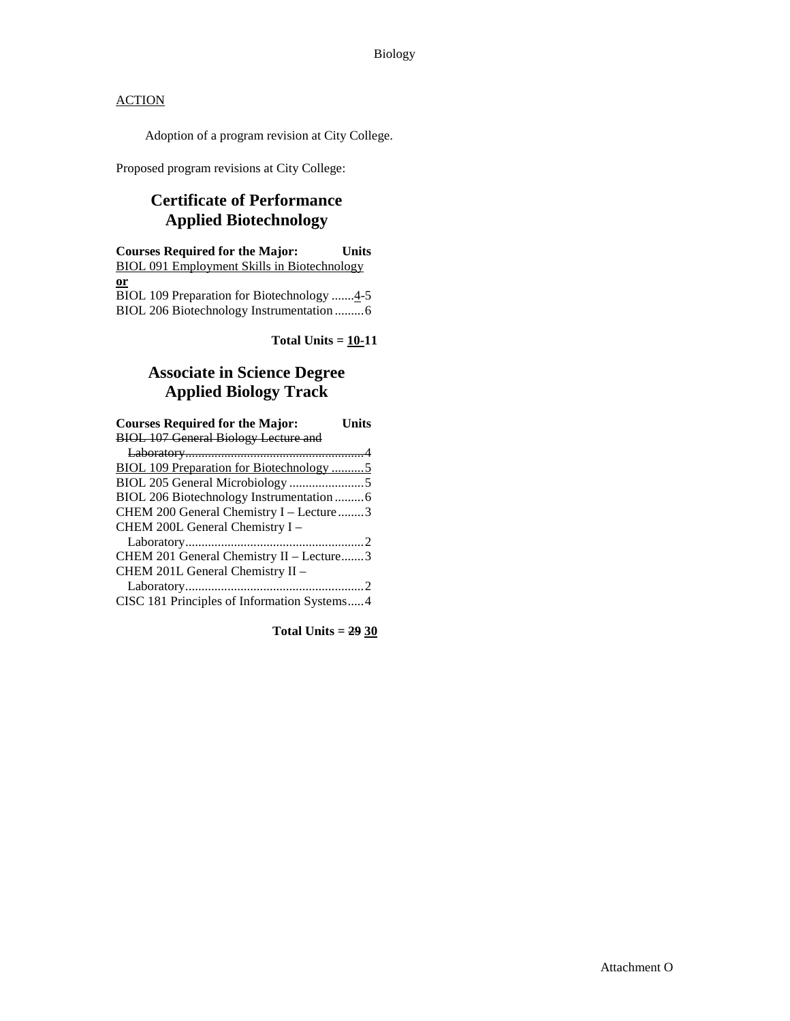Adoption of a program revision at City College.

Proposed program revisions at City College:

## **Certificate of Performance Applied Biotechnology**

**Courses Required for the Major: Units** BIOL 091 Employment Skills in Biotechnology **or** BIOL 109 Preparation for Biotechnology ....... $4-5$ BIOL 206 Biotechnology Instrumentation .........6

Total Units  $= 10-11$ 

## **Associate in Science Degree Applied Biology Track**

| <b>Courses Required for the Major:</b>      | <b>Units</b> |
|---------------------------------------------|--------------|
| <b>BIOL 107 General Biology Lecture and</b> |              |
|                                             |              |
| BIOL 109 Preparation for Biotechnology 5    |              |
|                                             |              |
|                                             |              |
| CHEM 200 General Chemistry I - Lecture3     |              |
| CHEM 200L General Chemistry I -             |              |
|                                             |              |
| CHEM 201 General Chemistry II - Lecture3    |              |
| CHEM 201L General Chemistry II -            |              |
|                                             |              |
| CISC 181 Principles of Information Systems4 |              |

**Total Units = 29 30**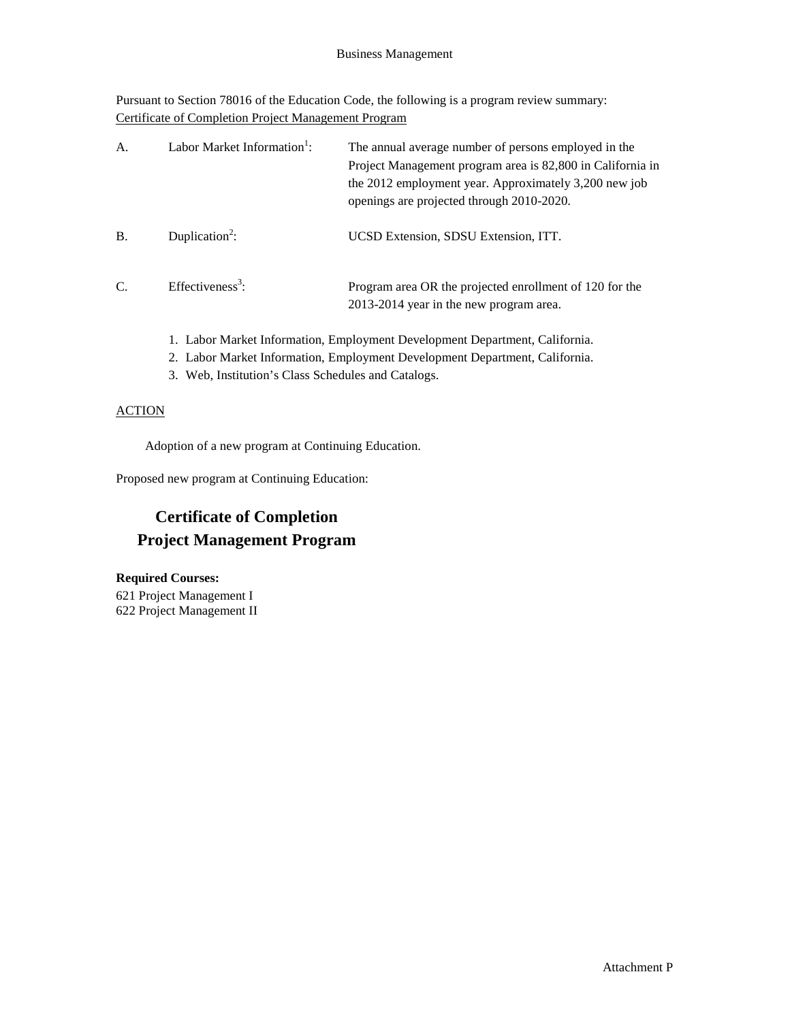Pursuant to Section 78016 of the Education Code, the following is a program review summary: Certificate of Completion Project Management Program

| A.        | Labor Market Information <sup>1</sup> : | The annual average number of persons employed in the<br>Project Management program area is 82,800 in California in<br>the 2012 employment year. Approximately 3,200 new job<br>openings are projected through 2010-2020. |
|-----------|-----------------------------------------|--------------------------------------------------------------------------------------------------------------------------------------------------------------------------------------------------------------------------|
| <b>B.</b> | Duplication <sup>2</sup> :              | UCSD Extension, SDSU Extension, ITT.                                                                                                                                                                                     |
| C.        | Effectiveness <sup>3</sup> :            | Program area OR the projected enrollment of 120 for the<br>2013-2014 year in the new program area.                                                                                                                       |

- 1. Labor Market Information, Employment Development Department, California.
- 2. Labor Market Information, Employment Development Department, California.
- 3. Web, Institution's Class Schedules and Catalogs.

## **ACTION**

Adoption of a new program at Continuing Education.

Proposed new program at Continuing Education:

## **Certificate of Completion Project Management Program**

**Required Courses:** 621 Project Management I 622 Project Management II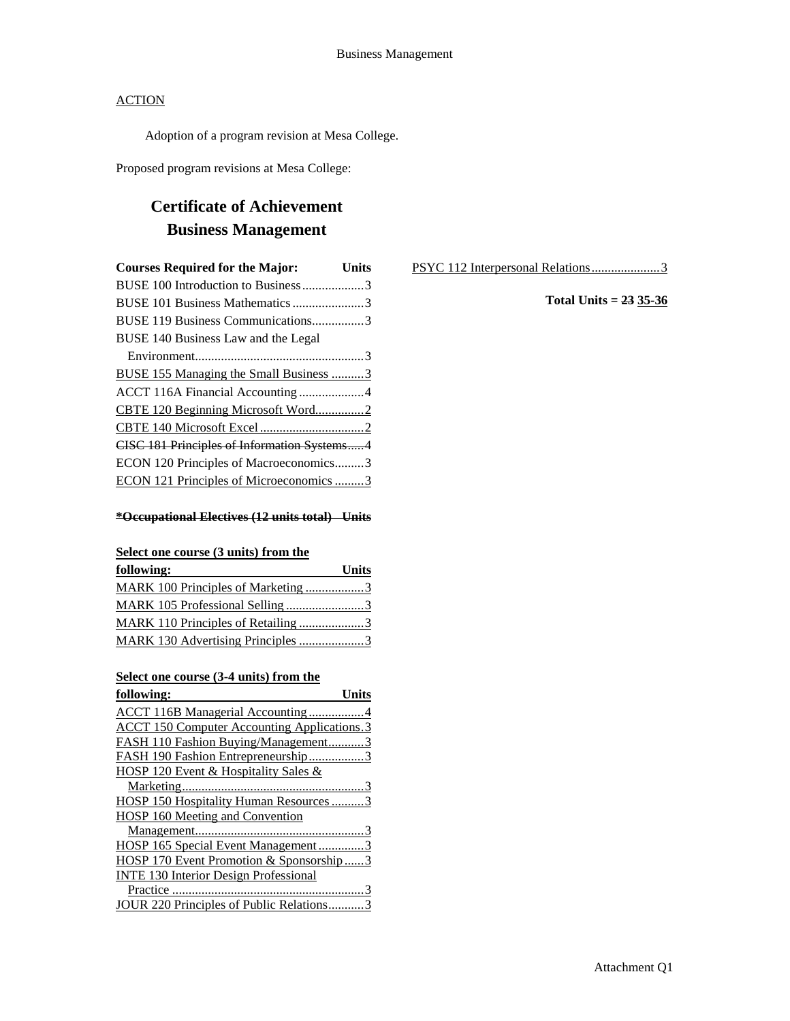Adoption of a program revision at Mesa College.

Proposed program revisions at Mesa College:

## **Certificate of Achievement Business Management**

| <b>Courses Required for the Major:</b>        | <b>Units</b> |
|-----------------------------------------------|--------------|
| BUSE 100 Introduction to Business3            |              |
| BUSE 101 Business Mathematics 3               |              |
| BUSE 119 Business Communications3             |              |
| BUSE 140 Business Law and the Legal           |              |
|                                               |              |
| <b>BUSE 155 Managing the Small Business 3</b> |              |
|                                               |              |
| CBTE 120 Beginning Microsoft Word2            |              |
|                                               |              |
| CISC 181 Principles of Information Systems4   |              |
| ECON 120 Principles of Macroeconomics3        |              |
| ECON 121 Principles of Microeconomics 3       |              |

### **\*Occupational Electives (12 units total) Units**

## **Select one course (3 units) from the**

| following:                         | <b>Units</b> |
|------------------------------------|--------------|
| MARK 100 Principles of Marketing 3 |              |
| MARK 105 Professional Selling3     |              |
| MARK 110 Principles of Retailing 3 |              |
| MARK 130 Advertising Principles 3  |              |

## **Select one course (3-4 units) from the**

| following:                                         |
|----------------------------------------------------|
| <b>ACCT 116B Managerial Accounting 4</b>           |
| <b>ACCT 150 Computer Accounting Applications.3</b> |
| FASH 110 Fashion Buying/Management3                |
| FASH 190 Fashion Entrepreneurship3                 |
| HOSP 120 Event & Hospitality Sales &               |
|                                                    |
| HOSP 150 Hospitality Human Resources3              |
| <b>HOSP 160 Meeting and Convention</b>             |
|                                                    |
| HOSP 165 Special Event Management3                 |
| HOSP 170 Event Promotion & Sponsorship3            |
| <b>INTE 130 Interior Design Professional</b>       |
|                                                    |
| JOUR 220 Principles of Public Relations            |

PSYC 112 Interpersonal Relations......................3

**Total Units = 23 35-36**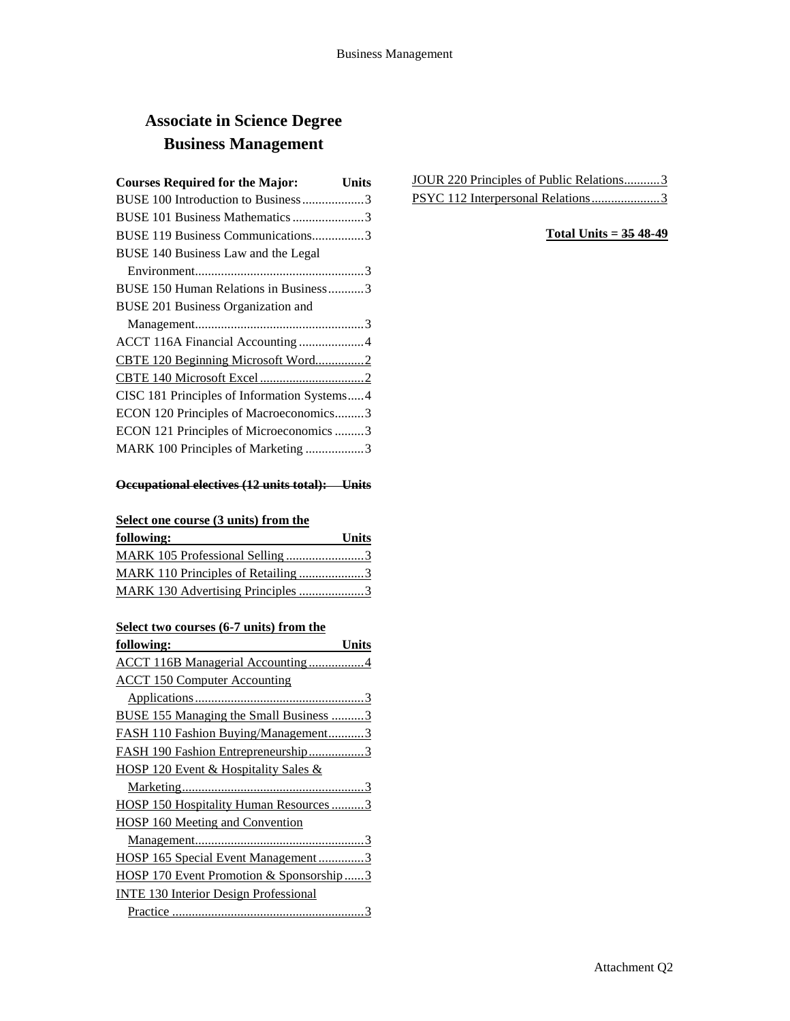## **Associate in Science Degree Business Management**

| <b>Courses Required for the Major:</b>      | Units |
|---------------------------------------------|-------|
| BUSE 100 Introduction to Business3          |       |
| BUSE 101 Business Mathematics 3             |       |
| BUSE 119 Business Communications3           |       |
| BUSE 140 Business Law and the Legal         |       |
|                                             |       |
| BUSE 150 Human Relations in Business3       |       |
| BUSE 201 Business Organization and          |       |
|                                             |       |
| ACCT 116A Financial Accounting 4            |       |
| CBTE 120 Beginning Microsoft Word2          |       |
|                                             |       |
| CISC 181 Principles of Information Systems4 |       |
| ECON 120 Principles of Macroeconomics3      |       |
| ECON 121 Principles of Microeconomics 3     |       |
| MARK 100 Principles of Marketing 3          |       |
|                                             |       |

## **Occupational electives (12 units total): Units**

## **Select one course (3 units) from the**

| following:                                | <b>Units</b> |
|-------------------------------------------|--------------|
| MARK 105 Professional Selling3            |              |
| <u>MARK 110 Principles of Retailing 3</u> |              |
| MARK 130 Advertising Principles 3         |              |

## **Select two courses (6-7 units) from the**

| following:<br>Units                          |
|----------------------------------------------|
| <b>ACCT 116B Managerial Accounting 4</b>     |
| <b>ACCT 150 Computer Accounting</b>          |
|                                              |
| BUSE 155 Managing the Small Business 3       |
| FASH 110 Fashion Buying/Management3          |
| FASH 190 Fashion Entrepreneurship3           |
| HOSP 120 Event & Hospitality Sales &         |
|                                              |
| HOSP 150 Hospitality Human Resources3        |
| HOSP 160 Meeting and Convention              |
|                                              |
| HOSP 165 Special Event Management3           |
| HOSP 170 Event Promotion & Sponsorship3      |
| <b>INTE 130 Interior Design Professional</b> |
|                                              |

| JOUR 220 Principles of Public Relations3 |  |
|------------------------------------------|--|
| PSYC 112 Interpersonal Relations 3       |  |

## **Total Units = 35 48-49**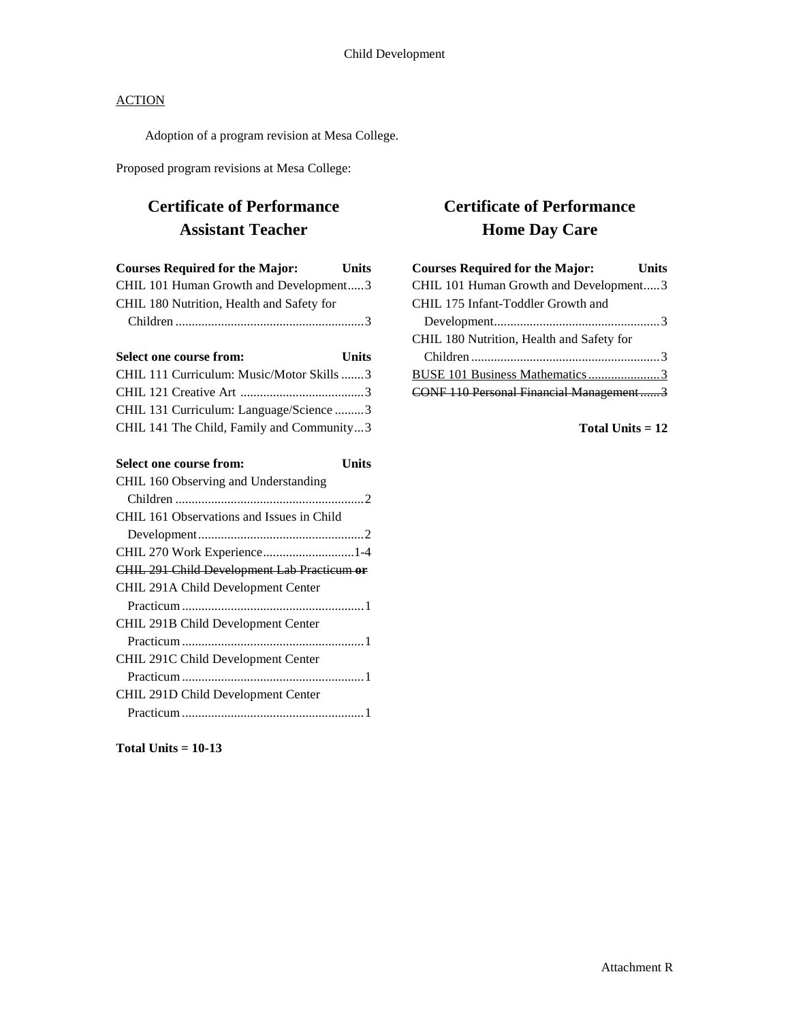Adoption of a program revision at Mesa College.

Proposed program revisions at Mesa College:

## **Certificate of Performance Assistant Teacher**

| <b>Courses Required for the Major:</b>    | <b>Units</b> |
|-------------------------------------------|--------------|
| CHIL 101 Human Growth and Development3    |              |
| CHIL 180 Nutrition, Health and Safety for |              |
|                                           |              |

| <b>Select one course from:</b>            | <b>Units</b> |
|-------------------------------------------|--------------|
| CHIL 111 Curriculum: Music/Motor Skills 3 |              |
|                                           |              |
| CHIL 131 Curriculum: Language/Science3    |              |
| CHIL 141 The Child, Family and Community3 |              |

| <b>Select one course from:</b>              | Units |
|---------------------------------------------|-------|
| CHIL 160 Observing and Understanding        |       |
|                                             |       |
| CHIL 161 Observations and Issues in Child   |       |
|                                             |       |
| CHIL 270 Work Experience1-4                 |       |
| CHIL 291 Child Development Lab Practicum or |       |
| CHIL 291A Child Development Center          |       |
|                                             |       |
| CHIL 291B Child Development Center          |       |
|                                             |       |
| CHIL 291C Child Development Center          |       |
|                                             |       |
| CHIL 291D Child Development Center          |       |
|                                             |       |

**Certificate of Performance Home Day Care**

| <b>Courses Required for the Major:</b>    | <b>Units</b> |
|-------------------------------------------|--------------|
| CHIL 101 Human Growth and Development3    |              |
| CHIL 175 Infant-Toddler Growth and        |              |
|                                           |              |
| CHIL 180 Nutrition, Health and Safety for |              |
|                                           |              |
| BUSE 101 Business Mathematics3            |              |
| CONF 110 Personal Financial Management3   |              |

**Total Units = 12**

**Total Units = 10-13**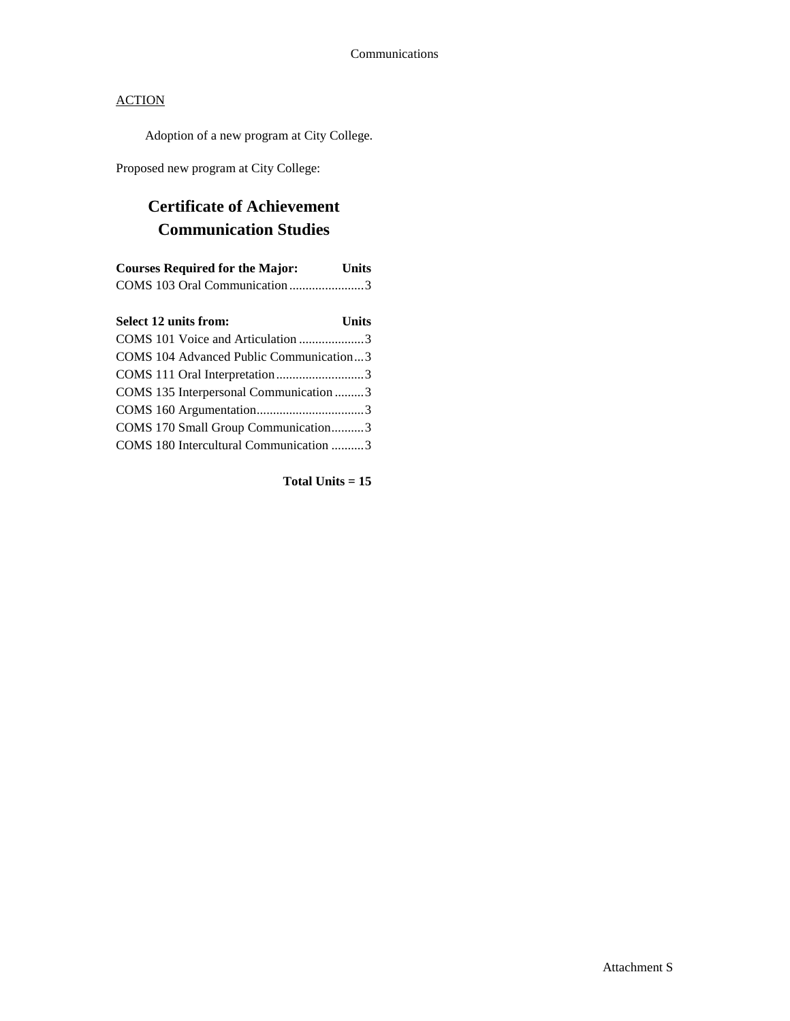Adoption of a new program at City College.

Proposed new program at City College:

## **Certificate of Achievement Communication Studies**

| <b>Courses Required for the Major:</b> | <b>Units</b> |
|----------------------------------------|--------------|
|                                        |              |

| <b>Select 12 units from:</b>            | <b>Units</b> |
|-----------------------------------------|--------------|
| COMS 101 Voice and Articulation 3       |              |
| COMS 104 Advanced Public Communication3 |              |
| COMS 111 Oral Interpretation3           |              |
| COMS 135 Interpersonal Communication 3  |              |
|                                         |              |
| COMS 170 Small Group Communication3     |              |
| COMS 180 Intercultural Communication 3  |              |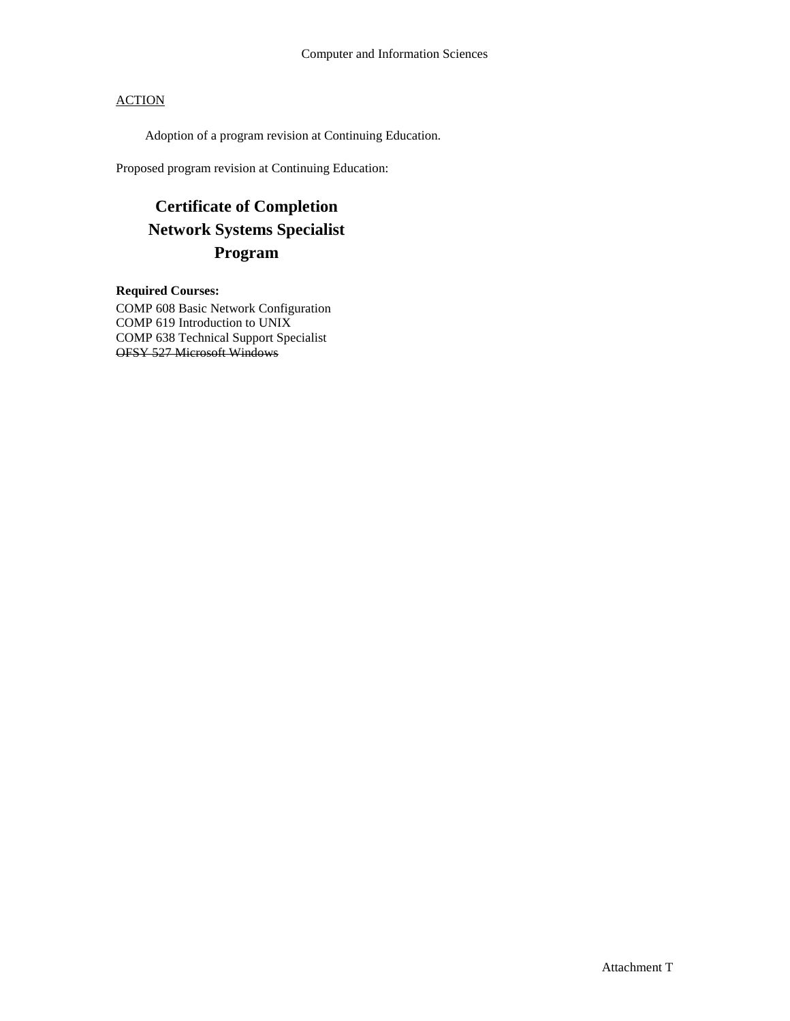Adoption of a program revision at Continuing Education.

Proposed program revision at Continuing Education:

## **Certificate of Completion Network Systems Specialist Program**

**Required Courses:** COMP 608 Basic Network Configuration COMP 619 Introduction to UNIX COMP 638 Technical Support Specialist OFSY 527 Microsoft Windows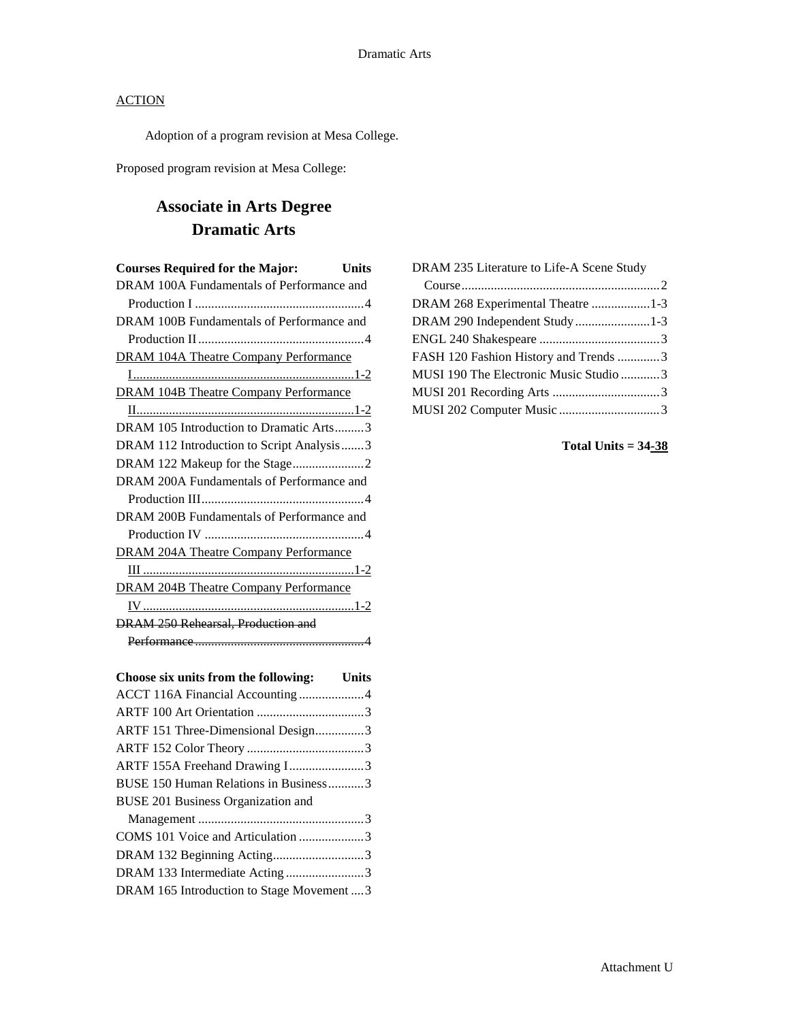Adoption of a program revision at Mesa College.

Proposed program revision at Mesa College:

## **Associate in Arts Degree Dramatic Arts**

| <b>Courses Required for the Major:</b>       | Units |
|----------------------------------------------|-------|
| DRAM 100A Fundamentals of Performance and    |       |
|                                              |       |
| DRAM 100B Fundamentals of Performance and    |       |
|                                              |       |
| <b>DRAM 104A Theatre Company Performance</b> |       |
|                                              |       |
| <b>DRAM 104B Theatre Company Performance</b> |       |
|                                              |       |
| DRAM 105 Introduction to Dramatic Arts3      |       |
| DRAM 112 Introduction to Script Analysis3    |       |
| DRAM 122 Makeup for the Stage2               |       |
| DRAM 200A Fundamentals of Performance and    |       |
|                                              |       |
| DRAM 200B Fundamentals of Performance and    |       |
|                                              |       |
| <b>DRAM 204A Theatre Company Performance</b> |       |
|                                              |       |
| <b>DRAM 204B Theatre Company Performance</b> |       |
|                                              |       |
| <b>DRAM 250 Rehearsal, Production and</b>    |       |
|                                              |       |
|                                              |       |

| Choose six units from the following: Units |  |
|--------------------------------------------|--|
| ACCT 116A Financial Accounting 4           |  |
|                                            |  |
| ARTF 151 Three-Dimensional Design3         |  |
|                                            |  |
| ARTF 155A Freehand Drawing I3              |  |
| BUSE 150 Human Relations in Business3      |  |
| BUSE 201 Business Organization and         |  |
|                                            |  |
| COMS 101 Voice and Articulation 3          |  |
| DRAM 132 Beginning Acting3                 |  |
| DRAM 133 Intermediate Acting 3             |  |
| DRAM 165 Introduction to Stage Movement  3 |  |

| DRAM 235 Literature to Life-A Scene Study |  |
|-------------------------------------------|--|
|                                           |  |
| DRAM 268 Experimental Theatre 1-3         |  |
| DRAM 290 Independent Study1-3             |  |
|                                           |  |
| FASH 120 Fashion History and Trends 3     |  |
| MUSI 190 The Electronic Music Studio 3    |  |
|                                           |  |
|                                           |  |
|                                           |  |

**Total Units = 34-38**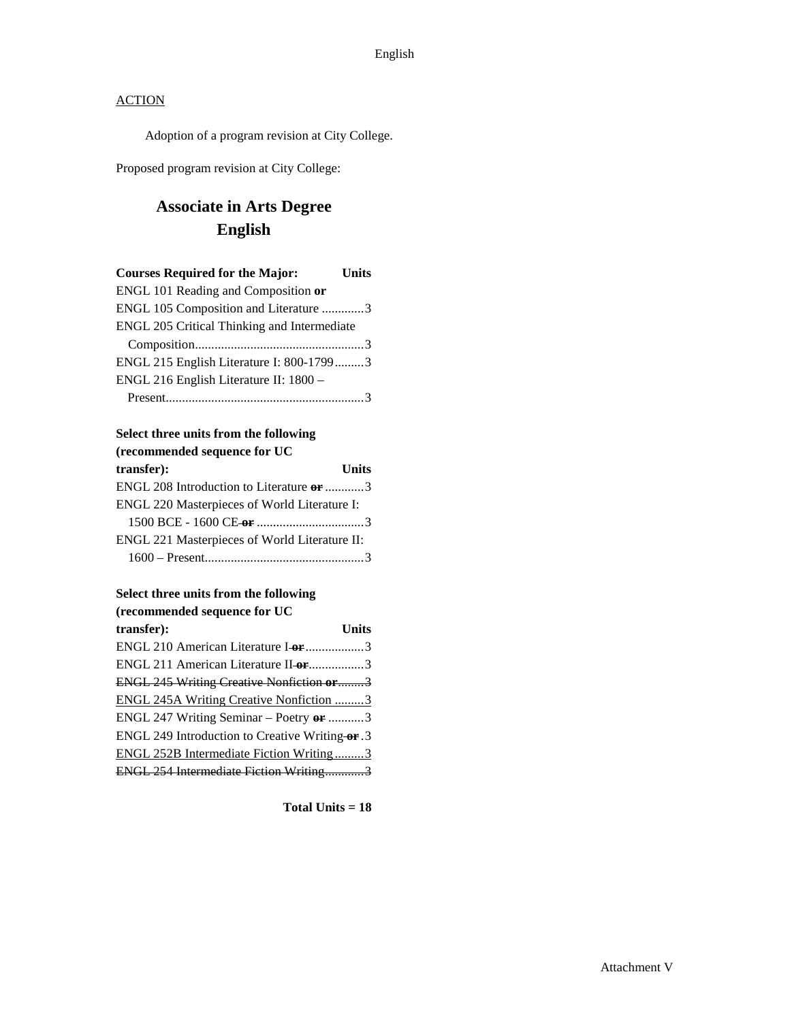Adoption of a program revision at City College.

Proposed program revision at City College:

## **Associate in Arts Degree English**

| <b>Courses Required for the Major:</b>      | Units |
|---------------------------------------------|-------|
| ENGL 101 Reading and Composition or         |       |
| ENGL 105 Composition and Literature 3       |       |
| ENGL 205 Critical Thinking and Intermediate |       |
|                                             |       |
| ENGL 215 English Literature I: 800-17993    |       |
| ENGL 216 English Literature II: 1800 -      |       |
|                                             |       |
|                                             |       |

#### **Select three units from the following (recommended sequence for UC**

| recommended sequence for OC                   |              |
|-----------------------------------------------|--------------|
| transfer):                                    | <b>Units</b> |
| ENGL 208 Introduction to Literature or 3      |              |
| ENGL 220 Masterpieces of World Literature I:  |              |
|                                               |              |
| ENGL 221 Masterpieces of World Literature II: |              |
|                                               |              |

## **Select three units from the following**

| (recommended sequence for UC                    |              |
|-------------------------------------------------|--------------|
| transfer):                                      | <b>Units</b> |
| ENGL 210 American Literature I-or 3             |              |
| ENGL 211 American Literature II or 3            |              |
| <b>ENGL 245 Writing Creative Nonfiction or3</b> |              |
| ENGL 245A Writing Creative Nonfiction 3         |              |
| ENGL 247 Writing Seminar – Poetry $er$ 3        |              |
| ENGL 249 Introduction to Creative Writing-or. 3 |              |
| ENGL 252B Intermediate Fiction Writing3         |              |
| ENGL 254 Intermediate Fiction Writing3          |              |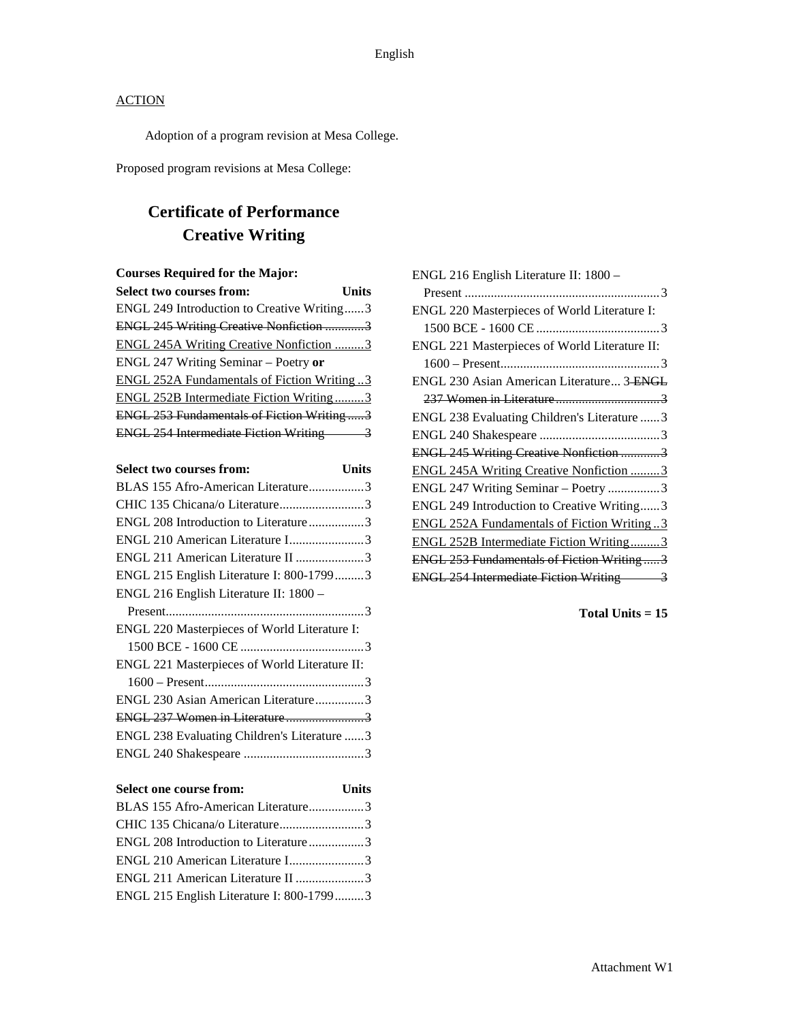Adoption of a program revision at Mesa College.

Proposed program revisions at Mesa College:

## **Certificate of Performance Creative Writing**

## **Courses Required for the Major:**

| <b>Select two courses from:</b>                    | Units |
|----------------------------------------------------|-------|
| ENGL 249 Introduction to Creative Writing3         |       |
| <b>ENGL 245 Writing Creative Nonfiction 3</b>      |       |
| <b>ENGL 245A Writing Creative Nonfiction 3</b>     |       |
| ENGL 247 Writing Seminar - Poetry or               |       |
| <b>ENGL 252A Fundamentals of Fiction Writing 3</b> |       |
| ENGL 252B Intermediate Fiction Writing3            |       |
| ENGL 253 Fundamentals of Fiction Writing3          |       |
| <b>ENGL 254 Intermediate Fiction Writing</b>       |       |

| <b>Select two courses from:</b>               | Units |
|-----------------------------------------------|-------|
| BLAS 155 Afro-American Literature3            |       |
| CHIC 135 Chicana/o Literature3                |       |
| ENGL 208 Introduction to Literature3          |       |
| ENGL 210 American Literature I3               |       |
| ENGL 211 American Literature II 3             |       |
| ENGL 215 English Literature I: 800-17993      |       |
| ENGL 216 English Literature II: 1800 -        |       |
|                                               |       |
| ENGL 220 Masterpieces of World Literature I:  |       |
|                                               |       |
| ENGL 221 Masterpieces of World Literature II: |       |
|                                               |       |
| ENGL 230 Asian American Literature3           |       |
| ENGL 237 Women in Literature3                 |       |
| ENGL 238 Evaluating Children's Literature 3   |       |
|                                               |       |

| Select one course from:                  | <b>Units</b> |
|------------------------------------------|--------------|
| BLAS 155 Afro-American Literature3       |              |
|                                          |              |
| ENGL 208 Introduction to Literature3     |              |
| ENGL 210 American Literature I3          |              |
| ENGL 211 American Literature II 3        |              |
| ENGL 215 English Literature I: 800-17993 |              |

| ENGL 216 English Literature II: 1800 -         |
|------------------------------------------------|
|                                                |
| ENGL 220 Masterpieces of World Literature I:   |
|                                                |
| ENGL 221 Masterpieces of World Literature II:  |
|                                                |
| ENGL 230 Asian American Literature 3 ENGL      |
|                                                |
| ENGL 238 Evaluating Children's Literature  3   |
|                                                |
| ENGL 245 Writing Creative Nonfiction 3         |
| <b>ENGL 245A Writing Creative Nonfiction 3</b> |
| ENGL 247 Writing Seminar – Poetry 3            |
| ENGL 249 Introduction to Creative Writing3     |
| ENGL 252A Fundamentals of Fiction Writing3     |
| ENGL 252B Intermediate Fiction Writing3        |
| ENGL 253 Fundamentals of Fiction Writing3      |
| <b>ENGL 254 Intermediate Fiction Writing 3</b> |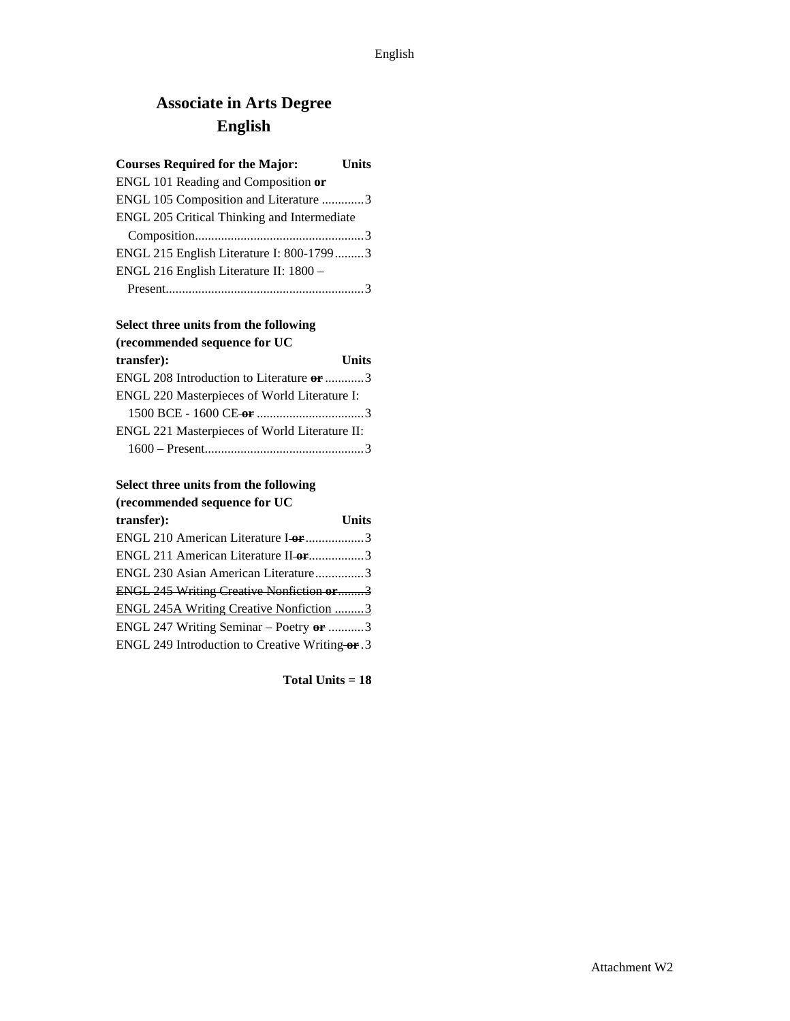## **Associate in Arts Degree English**

## **Courses Required for the Major: Units** ENGL 101 Reading and Composition **or** ENGL 105 Composition and Literature .............3 ENGL 205 Critical Thinking and Intermediate Composition....................................................3 ENGL 215 English Literature I: 800-1799.........3 ENGL 216 English Literature II: 1800 – Present.............................................................3

## **Select three units from the following (recommended sequence for UC**

| transfer):                                    | <b>Units</b> |
|-----------------------------------------------|--------------|
| ENGL 208 Introduction to Literature or 3      |              |
| ENGL 220 Masterpieces of World Literature I:  |              |
|                                               |              |
| ENGL 221 Masterpieces of World Literature II: |              |
|                                               |              |

#### **Select three units from the following (recommended sequence for UC**

| Trecommended sequence for OC                          |       |
|-------------------------------------------------------|-------|
| transfer):                                            | Units |
| ENGL 210 American Literature I or 3                   |       |
| ENGL 211 American Literature II-or3                   |       |
| ENGL 230 Asian American Literature3                   |       |
| <b>ENGL 245 Writing Creative Nonfiction or3</b>       |       |
| ENGL 245A Writing Creative Nonfiction 3               |       |
| ENGL 247 Writing Seminar – Poetry $\theta$ <b>r</b> 3 |       |
| ENGL 249 Introduction to Creative Writing-or.3        |       |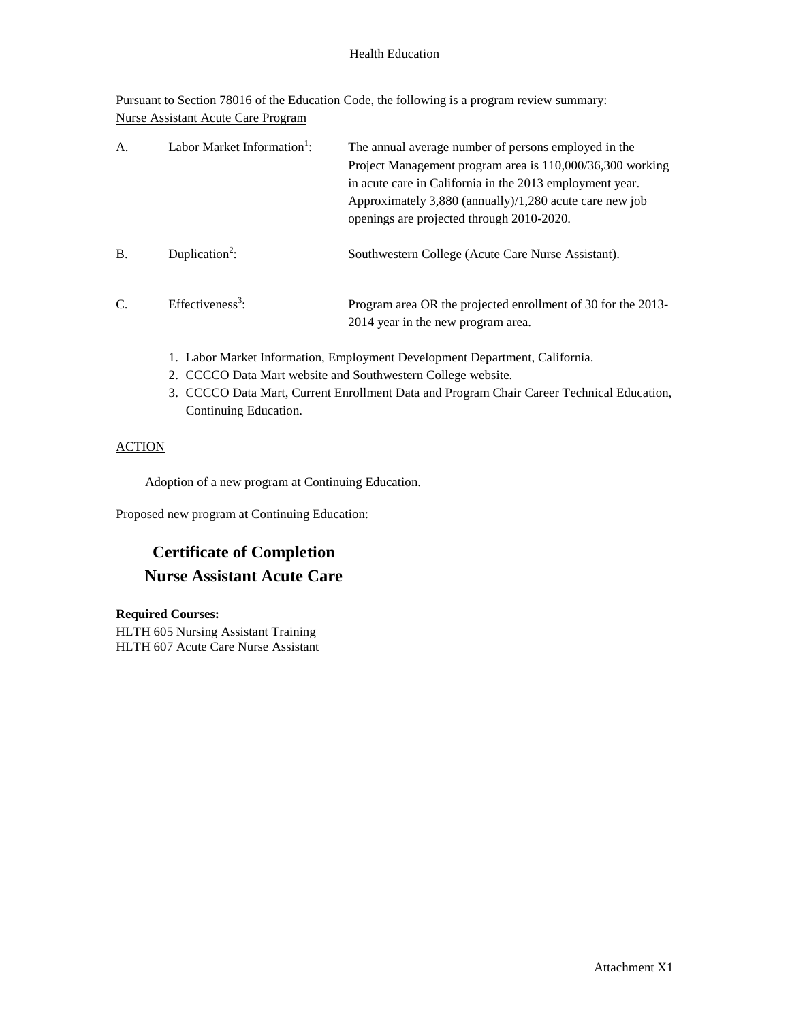### Health Education

Pursuant to Section 78016 of the Education Code, the following is a program review summary: Nurse Assistant Acute Care Program

| A.            | Labor Market Information <sup>1</sup> : | The annual average number of persons employed in the<br>Project Management program area is 110,000/36,300 working<br>in acute care in California in the 2013 employment year.<br>Approximately 3,880 (annually)/1,280 acute care new job<br>openings are projected through 2010-2020. |
|---------------|-----------------------------------------|---------------------------------------------------------------------------------------------------------------------------------------------------------------------------------------------------------------------------------------------------------------------------------------|
| <b>B.</b>     | Duplication <sup>2</sup> :              | Southwestern College (Acute Care Nurse Assistant).                                                                                                                                                                                                                                    |
| $\mathcal{C}$ | Effectiveness <sup>3</sup> :            | Program area OR the projected enrollment of 30 for the 2013-<br>2014 year in the new program area.                                                                                                                                                                                    |

- 1. Labor Market Information, Employment Development Department, California.
- 2. CCCCO Data Mart website and Southwestern College website.
- 3. CCCCO Data Mart, Current Enrollment Data and Program Chair Career Technical Education, Continuing Education.

## ACTION

Adoption of a new program at Continuing Education.

Proposed new program at Continuing Education:

## **Certificate of Completion Nurse Assistant Acute Care**

### **Required Courses:**

HLTH 605 Nursing Assistant Training HLTH 607 Acute Care Nurse Assistant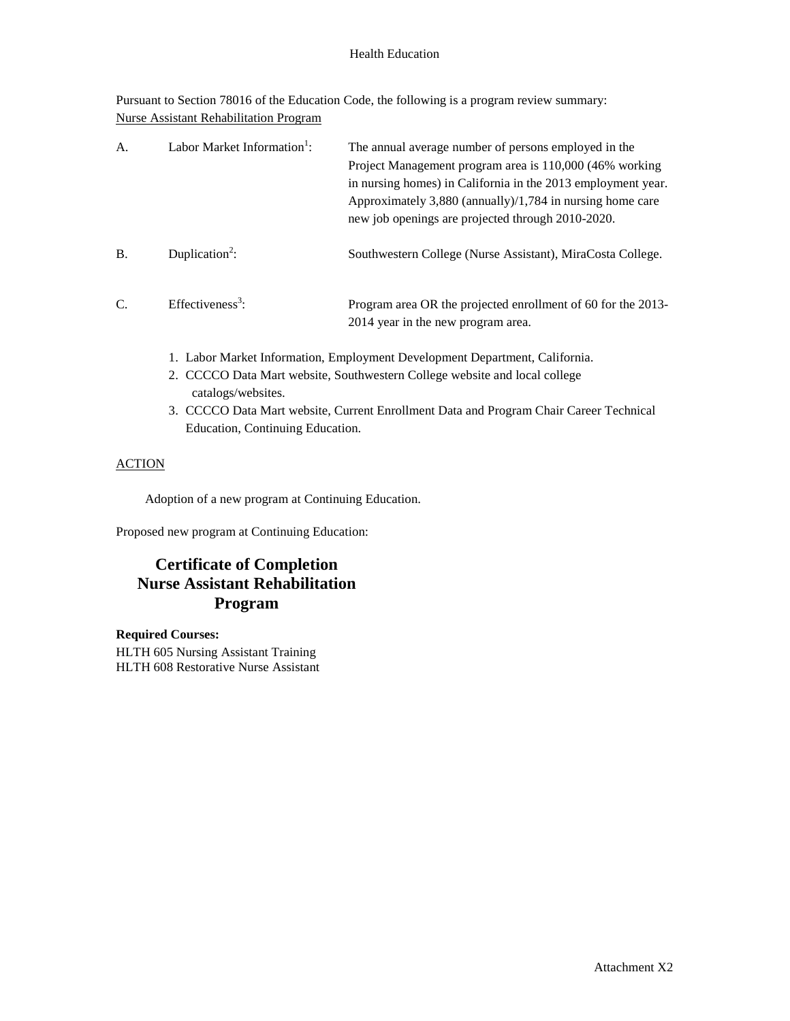### Health Education

Pursuant to Section 78016 of the Education Code, the following is a program review summary: Nurse Assistant Rehabilitation Program

| A <sub>1</sub> | Labor Market Information <sup>1</sup> : | The annual average number of persons employed in the<br>Project Management program area is 110,000 (46% working<br>in nursing homes) in California in the 2013 employment year.<br>Approximately 3,880 (annually)/1,784 in nursing home care<br>new job openings are projected through 2010-2020. |
|----------------|-----------------------------------------|---------------------------------------------------------------------------------------------------------------------------------------------------------------------------------------------------------------------------------------------------------------------------------------------------|
| <b>B.</b>      | Duplication <sup>2</sup> :              | Southwestern College (Nurse Assistant), MiraCosta College.                                                                                                                                                                                                                                        |
| C.             | Effectiveness <sup>3</sup> :            | Program area OR the projected enrollment of 60 for the 2013-<br>2014 year in the new program area.                                                                                                                                                                                                |

- 1. Labor Market Information, Employment Development Department, California.
- 2. CCCCO Data Mart website, Southwestern College website and local college catalogs/websites.
- 3. CCCCO Data Mart website, Current Enrollment Data and Program Chair Career Technical Education, Continuing Education.

## **ACTION**

Adoption of a new program at Continuing Education.

Proposed new program at Continuing Education:

## **Certificate of Completion Nurse Assistant Rehabilitation Program**

### **Required Courses:**

HLTH 605 Nursing Assistant Training HLTH 608 Restorative Nurse Assistant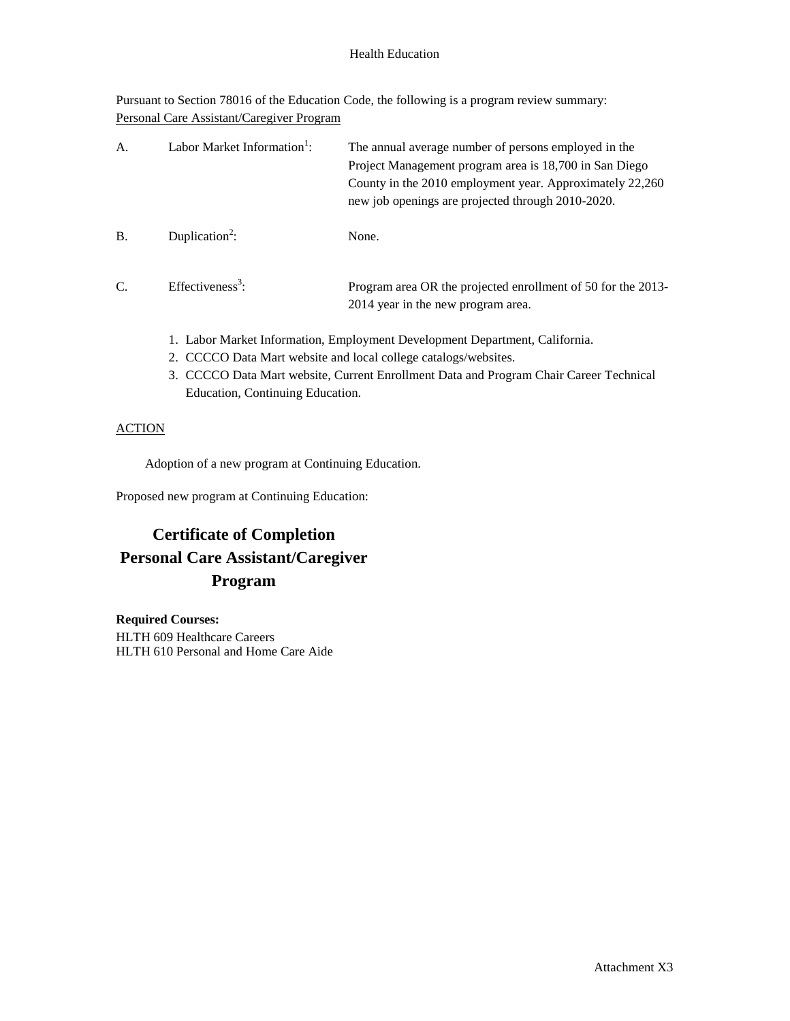### Health Education

Pursuant to Section 78016 of the Education Code, the following is a program review summary: Personal Care Assistant/Caregiver Program

| А. | Labor Market Information <sup>1</sup> : | The annual average number of persons employed in the<br>Project Management program area is 18,700 in San Diego<br>County in the 2010 employment year. Approximately 22,260<br>new job openings are projected through 2010-2020. |
|----|-----------------------------------------|---------------------------------------------------------------------------------------------------------------------------------------------------------------------------------------------------------------------------------|
| B. | Duplication <sup>2</sup> :              | None.                                                                                                                                                                                                                           |
| C. | Effectiveness <sup>3</sup> :            | Program area OR the projected enrollment of 50 for the 2013-<br>2014 year in the new program area.                                                                                                                              |
|    |                                         | 1. Labor Market Information, Employment Development Department, California.                                                                                                                                                     |

- 2. CCCCO Data Mart website and local college catalogs/websites.
- 3. CCCCO Data Mart website, Current Enrollment Data and Program Chair Career Technical Education, Continuing Education.

## **ACTION**

Adoption of a new program at Continuing Education.

Proposed new program at Continuing Education:

## **Certificate of Completion Personal Care Assistant/Caregiver Program**

**Required Courses:** HLTH 609 Healthcare Careers HLTH 610 Personal and Home Care Aide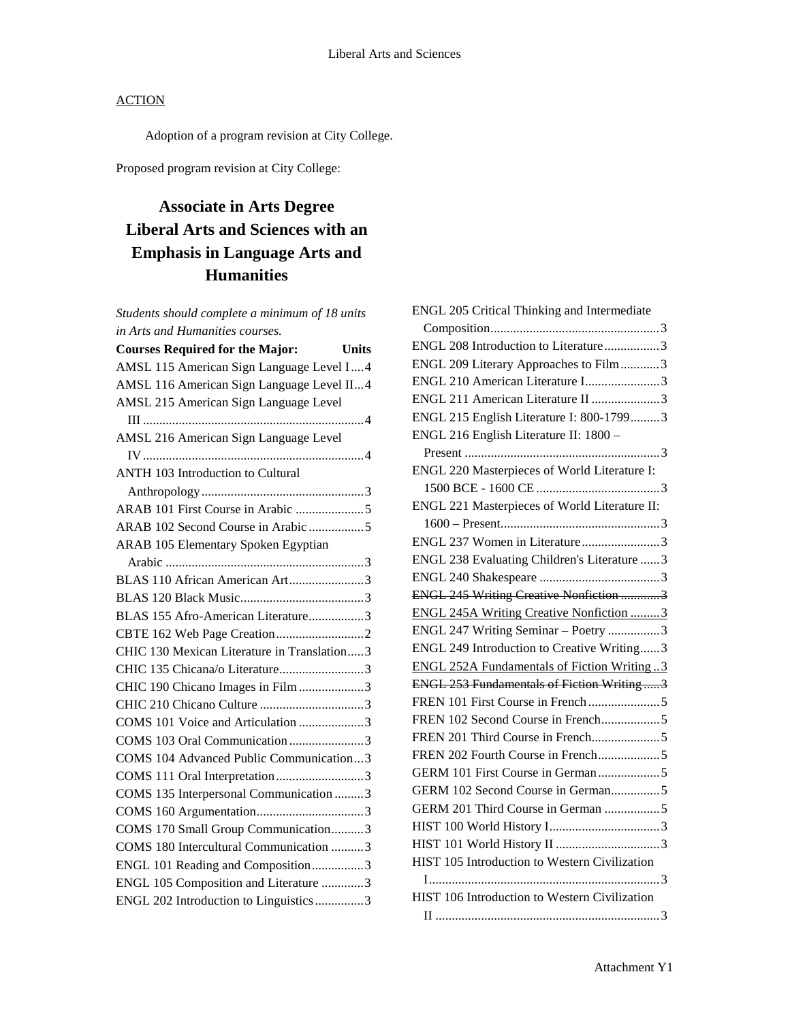Adoption of a program revision at City College.

Proposed program revision at City College:

## **Associate in Arts Degree Liberal Arts and Sciences with an Emphasis in Language Arts and Humanities**

*Students should complete a minimum of 18 units in Arts and Humanities courses.*

| <b>Courses Required for the Major:</b><br><b>Units</b> |
|--------------------------------------------------------|
| AMSL 115 American Sign Language Level I4               |
| AMSL 116 American Sign Language Level II4              |
| AMSL 215 American Sign Language Level                  |
|                                                        |
| AMSL 216 American Sign Language Level                  |
|                                                        |
| <b>ANTH 103 Introduction to Cultural</b>               |
|                                                        |
|                                                        |
| ARAB 102 Second Course in Arabic 5                     |
| ARAB 105 Elementary Spoken Egyptian                    |
|                                                        |
| BLAS 110 African American Art3                         |
|                                                        |
| BLAS 155 Afro-American Literature3                     |
|                                                        |
| CHIC 130 Mexican Literature in Translation3            |
| CHIC 135 Chicana/o Literature3                         |
| CHIC 190 Chicano Images in Film 3                      |
|                                                        |
| COMS 101 Voice and Articulation 3                      |
| COMS 103 Oral Communication 3                          |
| COMS 104 Advanced Public Communication3                |
| COMS 111 Oral Interpretation 3                         |
| COMS 135 Interpersonal Communication 3                 |
|                                                        |
| COMS 170 Small Group Communication3                    |
| COMS 180 Intercultural Communication 3                 |
| ENGL 101 Reading and Composition3                      |
| ENGL 105 Composition and Literature 3                  |
| ENGL 202 Introduction to Linguistics3                  |

| ENGL 205 Critical Thinking and Intermediate       |  |
|---------------------------------------------------|--|
|                                                   |  |
| ENGL 208 Introduction to Literature3              |  |
| ENGL 209 Literary Approaches to Film3             |  |
| ENGL 210 American Literature I3                   |  |
| ENGL 211 American Literature II 3                 |  |
| ENGL 215 English Literature I: 800-17993          |  |
| ENGL 216 English Literature II: 1800 -            |  |
|                                                   |  |
| ENGL 220 Masterpieces of World Literature I:      |  |
|                                                   |  |
| ENGL 221 Masterpieces of World Literature II:     |  |
|                                                   |  |
| ENGL 237 Women in Literature3                     |  |
| ENGL 238 Evaluating Children's Literature  3      |  |
|                                                   |  |
| <b>ENGL 245 Writing Creative Nonfiction 3</b>     |  |
| <b>ENGL 245A Writing Creative Nonfiction 3</b>    |  |
| ENGL 247 Writing Seminar - Poetry 3               |  |
| ENGL 249 Introduction to Creative Writing3        |  |
| <b>ENGL 252A Fundamentals of Fiction Writing3</b> |  |
| ENGL 253 Fundamentals of Fiction Writing3         |  |
|                                                   |  |
| FREN 102 Second Course in French5                 |  |
|                                                   |  |
| FREN 202 Fourth Course in French5                 |  |
| GERM 101 First Course in German 5                 |  |
| GERM 102 Second Course in German5                 |  |
| GERM 201 Third Course in German 5                 |  |
|                                                   |  |
|                                                   |  |
| HIST 105 Introduction to Western Civilization     |  |
|                                                   |  |
| HIST 106 Introduction to Western Civilization     |  |
|                                                   |  |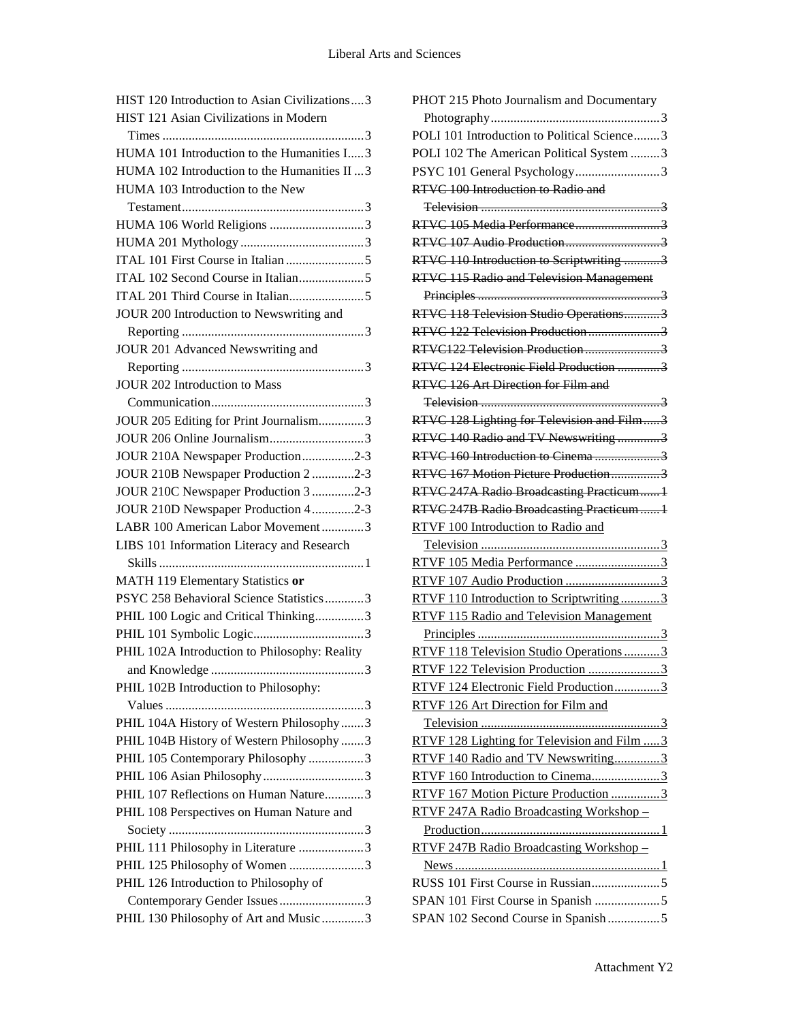| HIST 120 Introduction to Asian Civilizations  3                       |
|-----------------------------------------------------------------------|
| HIST 121 Asian Civilizations in Modern                                |
|                                                                       |
| HUMA 101 Introduction to the Humanities I3                            |
| HUMA 102 Introduction to the Humanities II  3                         |
| HUMA 103 Introduction to the New                                      |
|                                                                       |
| HUMA 106 World Religions 3                                            |
|                                                                       |
|                                                                       |
| ITAL 102 Second Course in Italian5                                    |
|                                                                       |
| JOUR 200 Introduction to Newswriting and                              |
|                                                                       |
| JOUR 201 Advanced Newswriting and                                     |
|                                                                       |
|                                                                       |
| <b>JOUR 202 Introduction to Mass</b>                                  |
|                                                                       |
| JOUR 205 Editing for Print Journalism3                                |
| JOUR 206 Online Journalism3                                           |
| JOUR 210A Newspaper Production2-3                                     |
| JOUR 210B Newspaper Production 2 2-3                                  |
| JOUR 210C Newspaper Production 3 2-3                                  |
| JOUR 210D Newspaper Production 42-3                                   |
| LABR 100 American Labor Movement3                                     |
| LIBS 101 Information Literacy and Research                            |
|                                                                       |
| MATH 119 Elementary Statistics or                                     |
| PSYC 258 Behavioral Science Statistics3                               |
| PHIL 100 Logic and Critical Thinking3                                 |
|                                                                       |
| PHIL 102A Introduction to Philosophy: Reality                         |
| 3                                                                     |
| PHIL 102B Introduction to Philosophy:                                 |
|                                                                       |
| PHIL 104A History of Western Philosophy3                              |
| PHIL 104B History of Western Philosophy 3                             |
| PHIL 105 Contemporary Philosophy 3                                    |
|                                                                       |
| PHIL 107 Reflections on Human Nature3                                 |
|                                                                       |
|                                                                       |
| PHIL 108 Perspectives on Human Nature and                             |
|                                                                       |
| PHIL 111 Philosophy in Literature 3                                   |
| PHIL 125 Philosophy of Women 3                                        |
| PHIL 126 Introduction to Philosophy of                                |
| Contemporary Gender Issues3<br>PHIL 130 Philosophy of Art and Music 3 |

| PHOT 215 Photo Journalism and Documentary       |
|-------------------------------------------------|
|                                                 |
| POLI 101 Introduction to Political Science3     |
| POLI 102 The American Political System 3        |
| PSYC 101 General Psychology3                    |
| RTVC 100 Introduction to Radio and              |
|                                                 |
| <b>RTVC 105 Media Performance3</b>              |
|                                                 |
| RTVC 110 Introduction to Scriptwriting 3        |
| <b>RTVC 115 Radio and Television Management</b> |
|                                                 |
| RTVC 118 Television Studio Operations3          |
| RTVC 122 Television Production3                 |
| RTVC122 Television Production 3                 |
| RTVC 124 Electronic Field Production 3          |
| RTVC 126 Art Direction for Film and             |
|                                                 |
| RTVC 128 Lighting for Television and Film3      |
| RTVC 140 Radio and TV Newswriting3              |
| RTVC 160 Introduction to Cinema 3               |
| RTVC 167 Motion Picture Production3             |
| RTVC 247A Radio Broadcasting Practicum1         |
| RTVC 247B Radio Broadcasting Practicum1         |
| RTVF 100 Introduction to Radio and              |
|                                                 |
| RTVF 105 Media Performance 3                    |
| RTVF 107 Audio Production 3                     |
| RTVF 110 Introduction to Scriptwriting3         |
| <b>RTVF 115 Radio and Television Management</b> |
|                                                 |
| RTVF 118 Television Studio Operations3          |
| RTVF 122 Television Production 3                |
| RTVF 124 Electronic Field Production3           |
| RTVF 126 Art Direction for Film and             |
|                                                 |
| RTVF 128 Lighting for Television and Film  3    |
| RTVF 140 Radio and TV Newswriting3              |
| RTVF 160 Introduction to Cinema3                |
| RTVF 167 Motion Picture Production 3            |
| RTVF 247A Radio Broadcasting Workshop-          |
|                                                 |
| RTVF 247B Radio Broadcasting Workshop -         |
|                                                 |
|                                                 |
|                                                 |
| SPAN 102 Second Course in Spanish5              |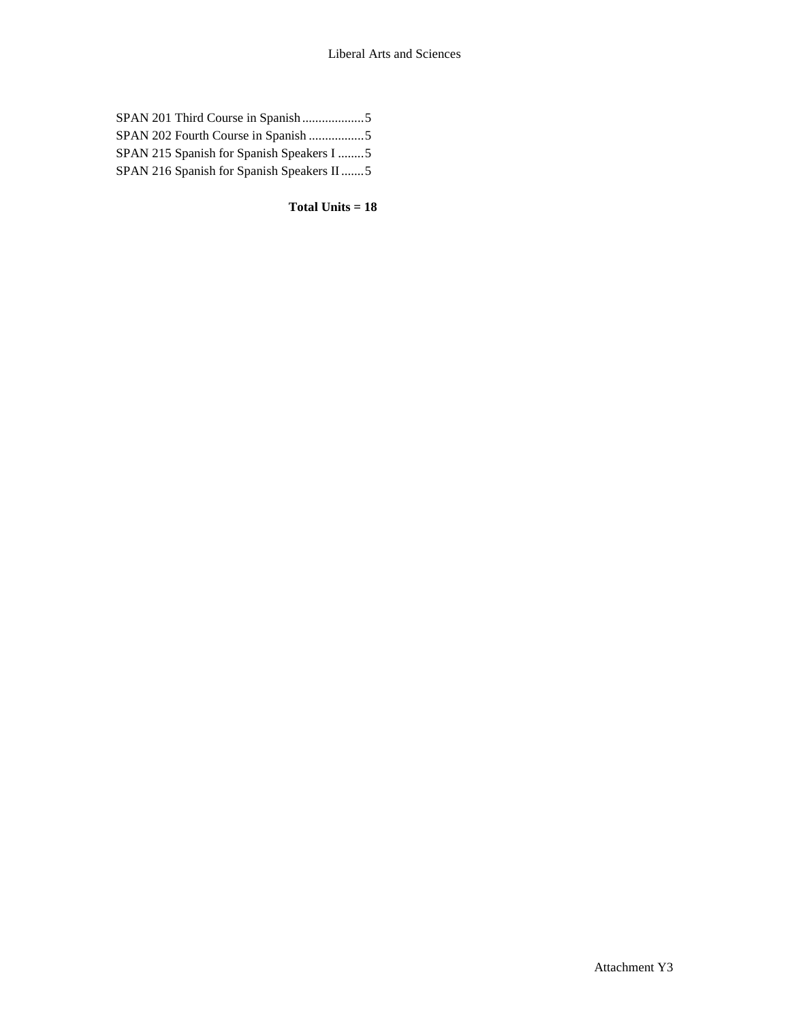| SPAN 202 Fourth Course in Spanish 5       |
|-------------------------------------------|
| SPAN 215 Spanish for Spanish Speakers I 5 |
| SPAN 216 Spanish for Spanish Speakers II5 |
|                                           |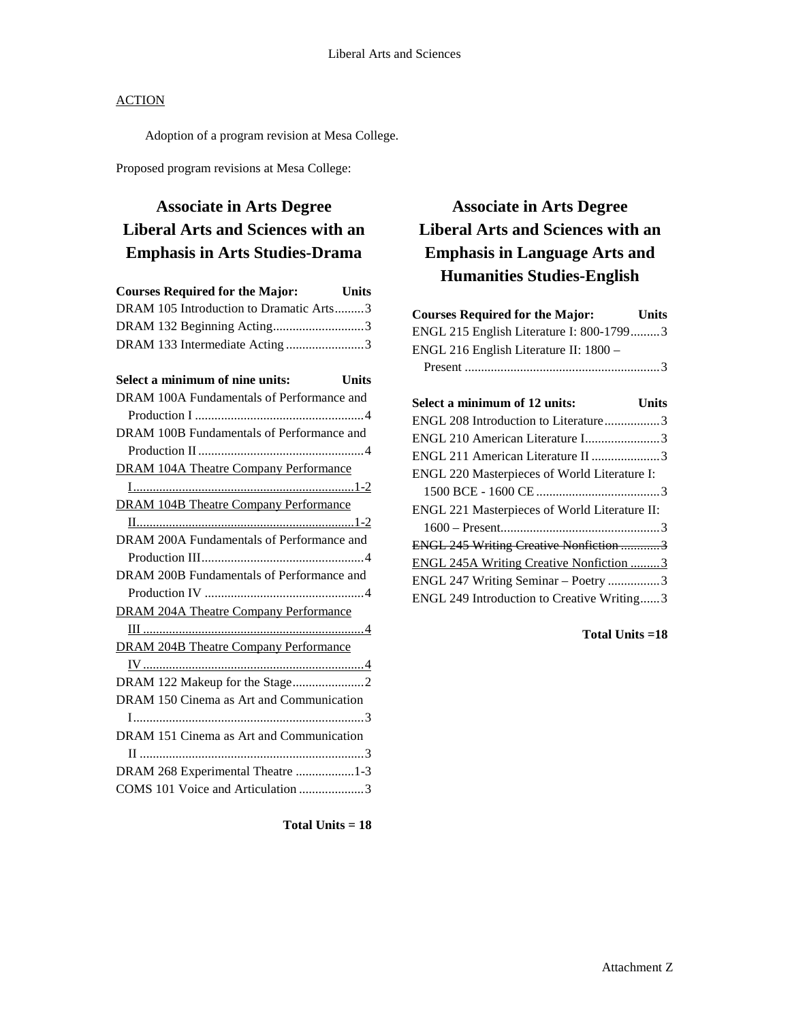Adoption of a program revision at Mesa College.

Proposed program revisions at Mesa College:

## **Associate in Arts Degree Liberal Arts and Sciences with an Emphasis in Arts Studies-Drama**

| <b>Courses Required for the Major:</b>  | <b>Units</b> |
|-----------------------------------------|--------------|
| DRAM 105 Introduction to Dramatic Arts3 |              |
| DRAM 132 Beginning Acting3              |              |
| DRAM 133 Intermediate Acting3           |              |

| Select a minimum of nine units:<br><b>Units</b> |  |
|-------------------------------------------------|--|
| DRAM 100A Fundamentals of Performance and       |  |
|                                                 |  |
| DRAM 100B Fundamentals of Performance and       |  |
|                                                 |  |
| <b>DRAM 104A Theatre Company Performance</b>    |  |
|                                                 |  |
| <b>DRAM 104B Theatre Company Performance</b>    |  |
|                                                 |  |
| DRAM 200A Fundamentals of Performance and       |  |
|                                                 |  |
| DRAM 200B Fundamentals of Performance and       |  |
|                                                 |  |
| <b>DRAM 204A Theatre Company Performance</b>    |  |
|                                                 |  |
| <b>DRAM 204B Theatre Company Performance</b>    |  |
|                                                 |  |
|                                                 |  |
| DRAM 150 Cinema as Art and Communication        |  |
|                                                 |  |
| DRAM 151 Cinema as Art and Communication        |  |
|                                                 |  |
| DRAM 268 Experimental Theatre 1-3               |  |
| COMS 101 Voice and Articulation 3               |  |
|                                                 |  |

**Total Units = 18**

## **Associate in Arts Degree Liberal Arts and Sciences with an Emphasis in Language Arts and Humanities Studies-English**

| <b>Courses Required for the Major:</b>   | <b>Units</b> |
|------------------------------------------|--------------|
| ENGL 215 English Literature I: 800-17993 |              |
| ENGL 216 English Literature II: 1800 -   |              |
|                                          |              |

| Units                                         |
|-----------------------------------------------|
| ENGL 208 Introduction to Literature3          |
|                                               |
| ENGL 211 American Literature II 3             |
| ENGL 220 Masterpieces of World Literature I:  |
|                                               |
| ENGL 221 Masterpieces of World Literature II: |
|                                               |
| ENGL 245 Writing Creative Nonfiction 3        |
| ENGL 245A Writing Creative Nonfiction 3       |
| ENGL 247 Writing Seminar - Poetry 3           |
| ENGL 249 Introduction to Creative Writing3    |
|                                               |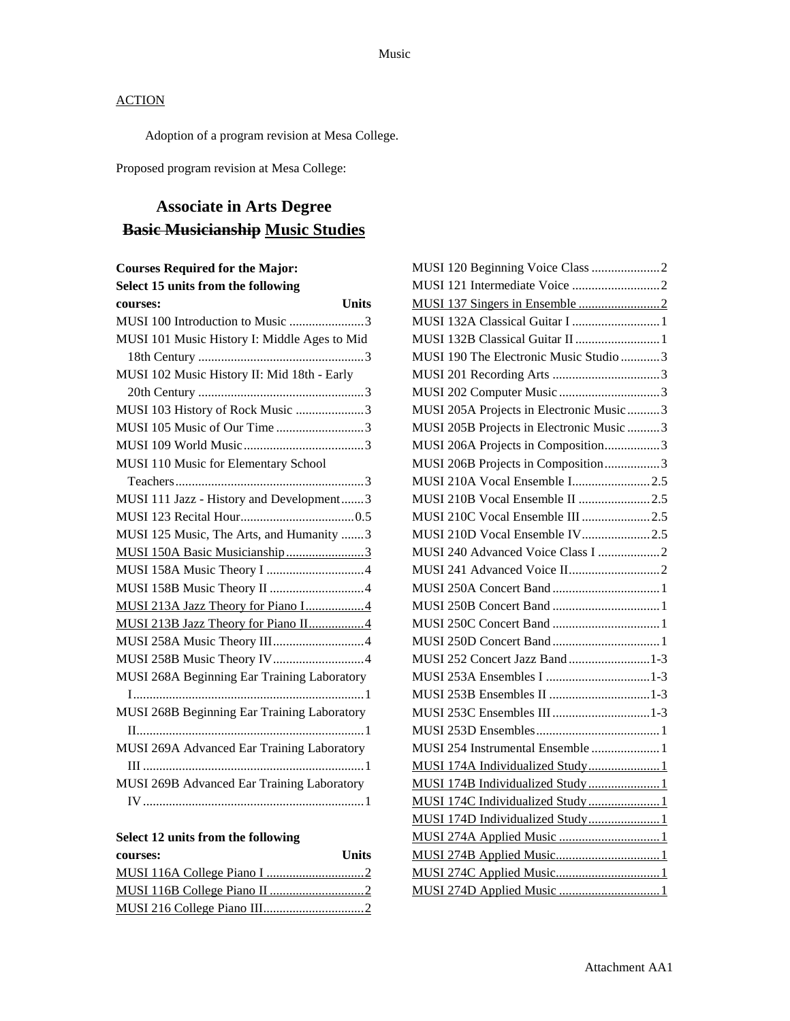Adoption of a program revision at Mesa College.

Proposed program revision at Mesa College:

## **Associate in Arts Degree Basic Musicianship Music Studies**

## **Courses Required for the Major:**

| Select 15 units from the following           |
|----------------------------------------------|
| <b>Units</b><br>courses:                     |
| MUSI 100 Introduction to Music 3             |
| MUSI 101 Music History I: Middle Ages to Mid |
|                                              |
| MUSI 102 Music History II: Mid 18th - Early  |
|                                              |
| MUSI 103 History of Rock Music 3             |
| MUSI 105 Music of Our Time 3                 |
|                                              |
| MUSI 110 Music for Elementary School         |
|                                              |
| MUSI 111 Jazz - History and Development3     |
|                                              |
| MUSI 125 Music, The Arts, and Humanity 3     |
| MUSI 150A Basic Musicianship3                |
|                                              |
|                                              |
| MUSI 213A Jazz Theory for Piano I4           |
| MUSI 213B Jazz Theory for Piano II4          |
|                                              |
| MUSI 258B Music Theory IV4                   |
| MUSI 268A Beginning Ear Training Laboratory  |
|                                              |
| MUSI 268B Beginning Ear Training Laboratory  |
|                                              |
| MUSI 269A Advanced Ear Training Laboratory   |
|                                              |
| MUSI 269B Advanced Ear Training Laboratory   |
|                                              |
|                                              |

## **Select 12 units from the following**

| courses: | <b>Units</b> |
|----------|--------------|
|          |              |
|          |              |
|          |              |

| MUSI 132A Classical Guitar I  1          |  |
|------------------------------------------|--|
| MUSI 132B Classical Guitar II  1         |  |
| MUSI 190 The Electronic Music Studio 3   |  |
|                                          |  |
| MUSI 202 Computer Music 3                |  |
| MUSI 205A Projects in Electronic Music 3 |  |
| MUSI 205B Projects in Electronic Music 3 |  |
| MUSI 206A Projects in Composition3       |  |
| MUSI 206B Projects in Composition3       |  |
| MUSI 210A Vocal Ensemble I2.5            |  |
| MUSI 210B Vocal Ensemble II 2.5          |  |
| MUSI 210C Vocal Ensemble III 2.5         |  |
| MUSI 210D Vocal Ensemble IV2.5           |  |
| MUSI 240 Advanced Voice Class I 2        |  |
|                                          |  |
|                                          |  |
|                                          |  |
|                                          |  |
|                                          |  |
| MUSI 252 Concert Jazz Band1-3            |  |
|                                          |  |
|                                          |  |
|                                          |  |
|                                          |  |
| MUSI 254 Instrumental Ensemble  1        |  |
| MUSI 174A Individualized Study 1         |  |
| MUSI 174B Individualized Study1          |  |
| MUSI 174C Individualized Study1          |  |
| MUSI 174D Individualized Study 1         |  |
|                                          |  |
|                                          |  |
|                                          |  |
|                                          |  |